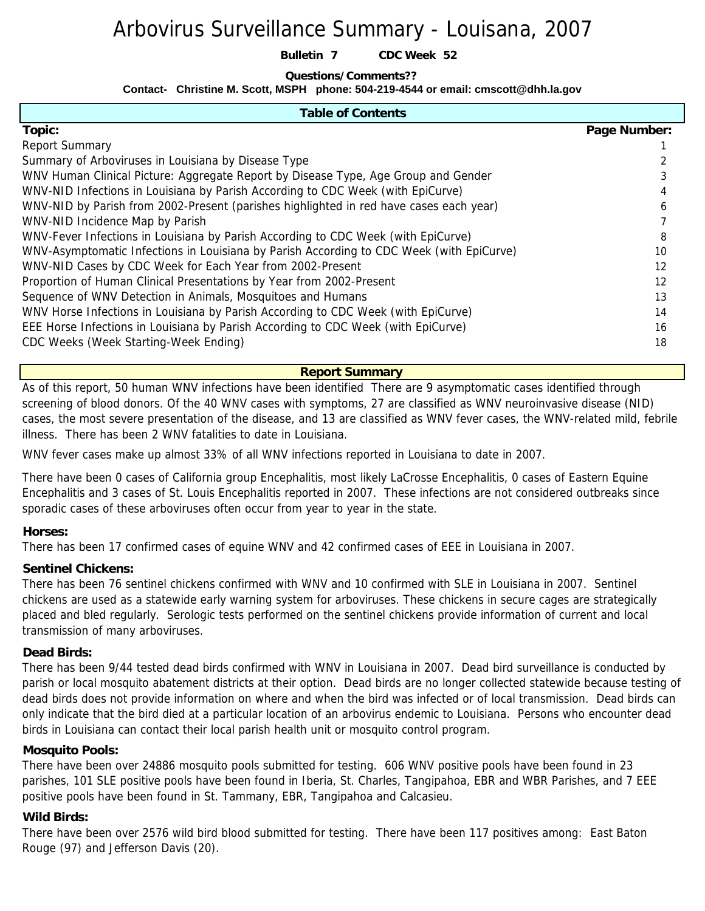# Arbovirus Surveillance Summary - Louisana, 2007

**Bulletin 7 CDC Week 52**

#### **Questions/Comments??**

**Contact- Christine M. Scott, MSPH phone: 504-219-4544 or email: cmscott@dhh.la.gov**

| <b>Table of Contents</b>                                                                 |              |
|------------------------------------------------------------------------------------------|--------------|
| Topic:                                                                                   | Page Number: |
| <b>Report Summary</b>                                                                    |              |
| Summary of Arboviruses in Louisiana by Disease Type                                      |              |
| WNV Human Clinical Picture: Aggregate Report by Disease Type, Age Group and Gender       |              |
| WNV-NID Infections in Louisiana by Parish According to CDC Week (with EpiCurve)          |              |
| WNV-NID by Parish from 2002-Present (parishes highlighted in red have cases each year)   | 6            |
| WNV-NID Incidence Map by Parish                                                          |              |
| WNV-Fever Infections in Louisiana by Parish According to CDC Week (with EpiCurve)        | 8            |
| WNV-Asymptomatic Infections in Louisiana by Parish According to CDC Week (with EpiCurve) | 10           |
| WNV-NID Cases by CDC Week for Each Year from 2002-Present                                | 12           |
| Proportion of Human Clinical Presentations by Year from 2002-Present                     | 12           |
| Sequence of WNV Detection in Animals, Mosquitoes and Humans                              | 13           |
| WNV Horse Infections in Louisiana by Parish According to CDC Week (with EpiCurve)        | 14           |
| EEE Horse Infections in Louisiana by Parish According to CDC Week (with EpiCurve)        | 16           |
| CDC Weeks (Week Starting-Week Ending)                                                    | 18           |

**Report Summary** 

As of this report, 50 human WNV infections have been identified There are 9 asymptomatic cases identified through screening of blood donors. Of the 40 WNV cases with symptoms, 27 are classified as WNV neuroinvasive disease (NID) cases, the most severe presentation of the disease, and 13 are classified as WNV fever cases, the WNV-related mild, febrile illness. There has been 2 WNV fatalities to date in Louisiana.

WNV fever cases make up almost 33% of all WNV infections reported in Louisiana to date in 2007.

There have been 0 cases of California group Encephalitis, most likely LaCrosse Encephalitis, 0 cases of Eastern Equine Encephalitis and 3 cases of St. Louis Encephalitis reported in 2007. These infections are not considered outbreaks since sporadic cases of these arboviruses often occur from year to year in the state.

### **Horses:**

There has been 17 confirmed cases of equine WNV and 42 confirmed cases of EEE in Louisiana in 2007.

### **Sentinel Chickens:**

There has been 76 sentinel chickens confirmed with WNV and 10 confirmed with SLE in Louisiana in 2007. Sentinel chickens are used as a statewide early warning system for arboviruses. These chickens in secure cages are strategically placed and bled regularly. Serologic tests performed on the sentinel chickens provide information of current and local transmission of many arboviruses.

### **Dead Birds:**

There has been 9/44 tested dead birds confirmed with WNV in Louisiana in 2007. Dead bird surveillance is conducted by parish or local mosquito abatement districts at their option. Dead birds are no longer collected statewide because testing of dead birds does not provide information on where and when the bird was infected or of local transmission. Dead birds can only indicate that the bird died at a particular location of an arbovirus endemic to Louisiana. Persons who encounter dead birds in Louisiana can contact their local parish health unit or mosquito control program.

### **Mosquito Pools:**

There have been over 24886 mosquito pools submitted for testing. 606 WNV positive pools have been found in 23 parishes, 101 SLE positive pools have been found in Iberia, St. Charles, Tangipahoa, EBR and WBR Parishes, and 7 EEE positive pools have been found in St. Tammany, EBR, Tangipahoa and Calcasieu.

### **Wild Birds:**

There have been over 2576 wild bird blood submitted for testing. There have been 117 positives among: East Baton Rouge (97) and Jefferson Davis (20).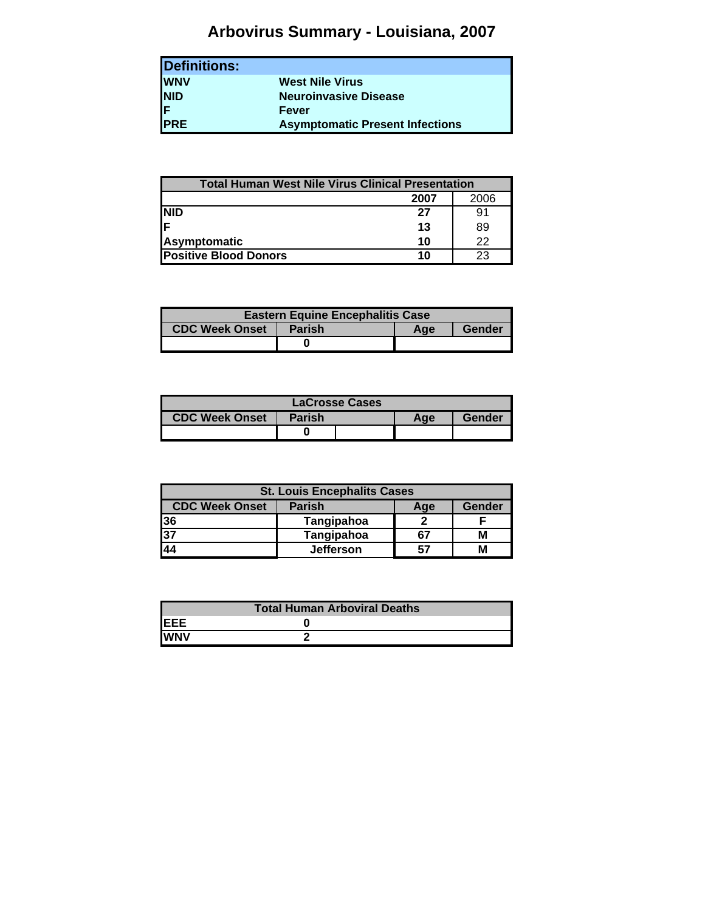# **Arbovirus Summary - Louisiana, 2007**

| Definitions: |                                        |
|--------------|----------------------------------------|
| <b>WNV</b>   | <b>West Nile Virus</b>                 |
| <b>NID</b>   | <b>Neuroinvasive Disease</b>           |
| F            | Fever                                  |
| <b>PRE</b>   | <b>Asymptomatic Present Infections</b> |

| <b>Total Human West Nile Virus Clinical Presentation</b> |      |      |
|----------------------------------------------------------|------|------|
|                                                          | 2007 | 2006 |
| <b>NID</b>                                               | 27   | 91   |
| lF                                                       | 13   | 89   |
| <b>Asymptomatic</b>                                      | 10   | 22   |
| <b>Positive Blood Donors</b>                             | 10   | 23   |

| <b>Eastern Equine Encephalitis Case</b> |               |     |        |  |  |  |  |  |  |  |  |  |  |
|-----------------------------------------|---------------|-----|--------|--|--|--|--|--|--|--|--|--|--|
| <b>CDC Week Onset</b>                   | <b>Parish</b> | Age | Gender |  |  |  |  |  |  |  |  |  |  |
|                                         |               |     |        |  |  |  |  |  |  |  |  |  |  |

| LaCrosse Cases        |               |  |     |        |  |  |  |  |  |  |  |  |  |
|-----------------------|---------------|--|-----|--------|--|--|--|--|--|--|--|--|--|
| <b>CDC Week Onset</b> | <b>Parish</b> |  | Aae | Gender |  |  |  |  |  |  |  |  |  |
|                       |               |  |     |        |  |  |  |  |  |  |  |  |  |

| <b>St. Louis Encephalits Cases</b> |                  |     |        |  |  |  |  |  |  |  |  |  |
|------------------------------------|------------------|-----|--------|--|--|--|--|--|--|--|--|--|
| <b>CDC Week Onset</b>              | <b>Parish</b>    | Age | Gender |  |  |  |  |  |  |  |  |  |
| 36                                 | Tangipahoa       |     |        |  |  |  |  |  |  |  |  |  |
| $\overline{37}$                    | Tangipahoa       | 67  |        |  |  |  |  |  |  |  |  |  |
| 44                                 | <b>Jefferson</b> | 57  |        |  |  |  |  |  |  |  |  |  |

|             | <b>Total Human Arboviral Deaths</b> |
|-------------|-------------------------------------|
| <b>IEEE</b> |                                     |
| <b>IWNV</b> |                                     |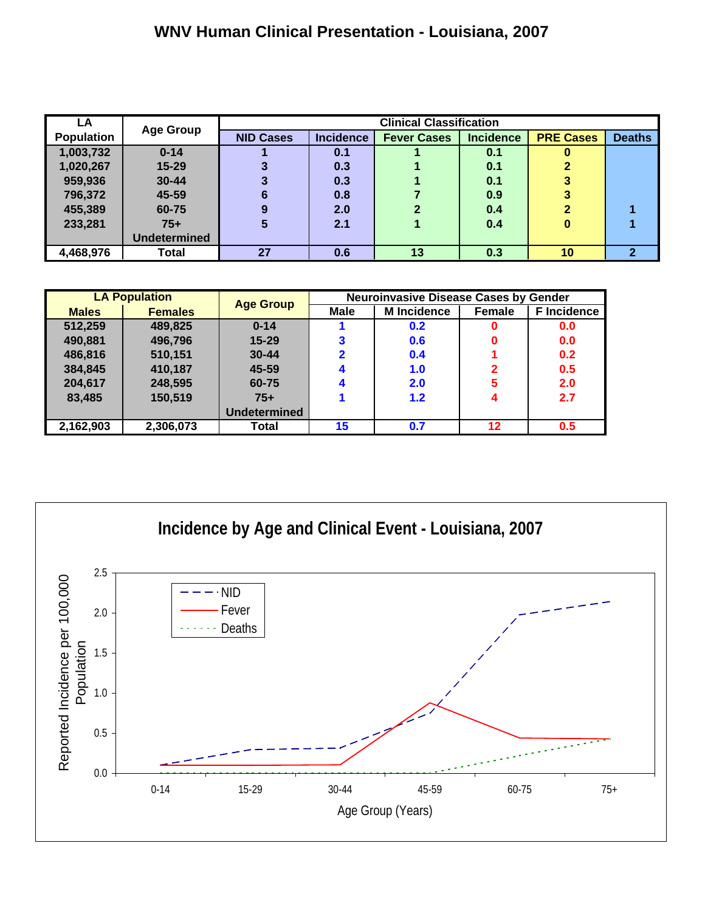# **WNV Human Clinical Presentation - Louisiana, 2007**

| LA                |                     |                  | <b>Clinical Classification</b><br><b>Incidence</b><br><b>Incidence</b> |               |     |              |   |  |  |  |  |  |  |  |  |  |
|-------------------|---------------------|------------------|------------------------------------------------------------------------|---------------|-----|--------------|---|--|--|--|--|--|--|--|--|--|
| <b>Population</b> | <b>Age Group</b>    | <b>NID Cases</b> | <b>PRE Cases</b>                                                       | <b>Deaths</b> |     |              |   |  |  |  |  |  |  |  |  |  |
| 1,003,732         | $0 - 14$            |                  | 0.1                                                                    |               | 0.1 |              |   |  |  |  |  |  |  |  |  |  |
| 1,020,267         | $15 - 29$           |                  | 0.3                                                                    |               | 0.1 | っ            |   |  |  |  |  |  |  |  |  |  |
| 959,936           | $30 - 44$           |                  | 0.3                                                                    |               | 0.1 |              |   |  |  |  |  |  |  |  |  |  |
| 796,372           | 45-59               | 6                | 0.8                                                                    |               | 0.9 | 3            |   |  |  |  |  |  |  |  |  |  |
| 455,389           | 60-75               | 9                | 2.0                                                                    | $\mathbf{2}$  | 0.4 | $\mathbf{2}$ |   |  |  |  |  |  |  |  |  |  |
| 233,281           | $75+$               | 5                | 2.1                                                                    |               | 0.4 | 0            |   |  |  |  |  |  |  |  |  |  |
|                   | <b>Undetermined</b> |                  |                                                                        |               |     |              |   |  |  |  |  |  |  |  |  |  |
| 4,468,976         | Total               | 27               | 0.6                                                                    | 13            | 0.3 | 10           | 2 |  |  |  |  |  |  |  |  |  |

|              | <b>LA Population</b> |                  | <b>Neuroinvasive Disease Cases by Gender</b> |                    |               |                    |  |  |  |  |  |  |  |  |
|--------------|----------------------|------------------|----------------------------------------------|--------------------|---------------|--------------------|--|--|--|--|--|--|--|--|
| <b>Males</b> | <b>Females</b>       | <b>Age Group</b> | Male                                         | <b>M</b> Incidence | <b>Female</b> | <b>F</b> Incidence |  |  |  |  |  |  |  |  |
| 512,259      | 489,825              | $0 - 14$         |                                              | 0.2                | U             | 0.0                |  |  |  |  |  |  |  |  |
| 490,881      | 496,796              | $15 - 29$        |                                              | 0.6                |               | 0.0                |  |  |  |  |  |  |  |  |
| 486,816      | 510,151              | $30 - 44$        |                                              | 0.4                |               | 0.2                |  |  |  |  |  |  |  |  |
| 384,845      | 410,187              | 45-59            |                                              | 1.0                | 2             | 0.5                |  |  |  |  |  |  |  |  |
| 204,617      | 248,595              | 60-75            |                                              | 2.0                | 5             | 2.0                |  |  |  |  |  |  |  |  |
| 83,485       | 150,519              | $75+$            |                                              | 1.2                |               | 2.7                |  |  |  |  |  |  |  |  |
|              |                      | Undetermined     |                                              |                    |               |                    |  |  |  |  |  |  |  |  |
| 2,162,903    | 2,306,073            | Total            | 15                                           | 0.7                | 12            | 0.5                |  |  |  |  |  |  |  |  |

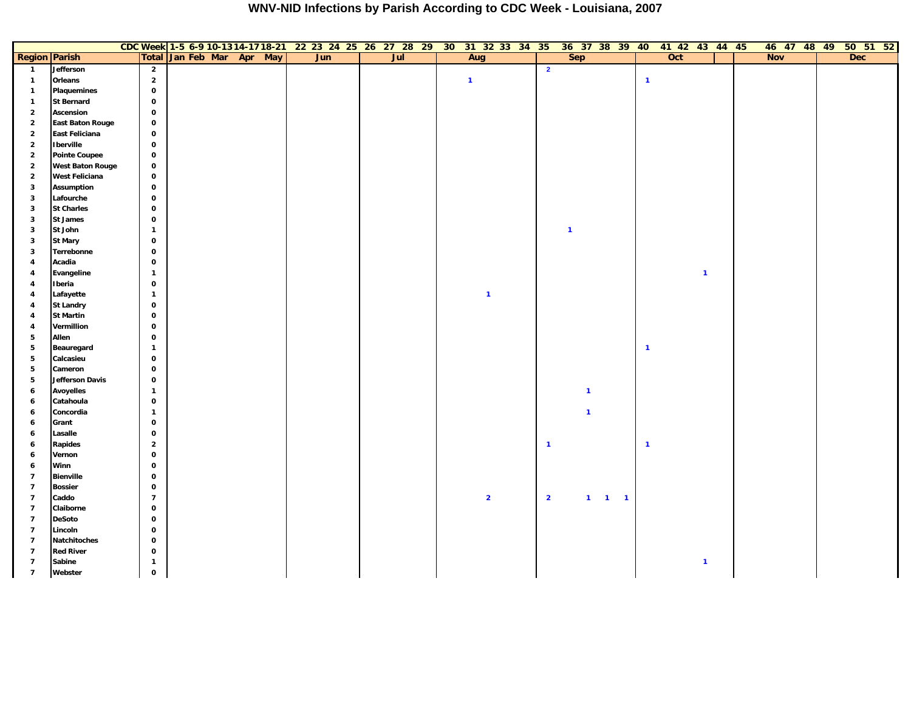|                                  |                            |                            |  |                           | CDC Week 1-5 6-9 10-1314-1718-21 22 23 24 25 26 27 28 29 30 31 32 33 34 35 |     |  |                         |  |                         | 36 37 38 39 40 41 42 43 44 45 |                       |                         |     |              |  |            |  | 46 47 48 49 50 51 52 |  |
|----------------------------------|----------------------------|----------------------------|--|---------------------------|----------------------------------------------------------------------------|-----|--|-------------------------|--|-------------------------|-------------------------------|-----------------------|-------------------------|-----|--------------|--|------------|--|----------------------|--|
| <b>Region Parish</b>             |                            |                            |  | Total Jan Feb Mar Apr May | Jun                                                                        | Jul |  | Aug                     |  |                         | <b>Sep</b>                    |                       |                         | Oct |              |  | <b>Nov</b> |  | <b>Dec</b>           |  |
| $\overline{\mathbf{1}}$          | Jefferson                  | $\overline{\mathbf{2}}$    |  |                           |                                                                            |     |  |                         |  | $\overline{\mathbf{2}}$ |                               |                       |                         |     |              |  |            |  |                      |  |
| $\mathbf{1}$                     | Orleans                    | $\overline{2}$             |  |                           |                                                                            |     |  | $\overline{1}$          |  |                         |                               |                       | $\overline{\mathbf{1}}$ |     |              |  |            |  |                      |  |
| $\mathbf{1}$                     | Plaquemines                | $\mathbf 0$                |  |                           |                                                                            |     |  |                         |  |                         |                               |                       |                         |     |              |  |            |  |                      |  |
| $\mathbf{1}$                     | <b>St Bernard</b>          | $\mathbf 0$                |  |                           |                                                                            |     |  |                         |  |                         |                               |                       |                         |     |              |  |            |  |                      |  |
| $\overline{2}$                   | Ascension                  | $\mathbf 0$                |  |                           |                                                                            |     |  |                         |  |                         |                               |                       |                         |     |              |  |            |  |                      |  |
| $\overline{2}$                   | <b>East Baton Rouge</b>    | $\mathbf 0$                |  |                           |                                                                            |     |  |                         |  |                         |                               |                       |                         |     |              |  |            |  |                      |  |
| $\overline{2}$                   | East Feliciana             | $\mathbf 0$                |  |                           |                                                                            |     |  |                         |  |                         |                               |                       |                         |     |              |  |            |  |                      |  |
| $\overline{2}$                   | <b>Iberville</b>           | $\mathbf 0$                |  |                           |                                                                            |     |  |                         |  |                         |                               |                       |                         |     |              |  |            |  |                      |  |
| $\overline{2}$                   | <b>Pointe Coupee</b>       | $\mathbf 0$                |  |                           |                                                                            |     |  |                         |  |                         |                               |                       |                         |     |              |  |            |  |                      |  |
| $\overline{\mathbf{2}}$          | <b>West Baton Rouge</b>    | $\mathbf 0$                |  |                           |                                                                            |     |  |                         |  |                         |                               |                       |                         |     |              |  |            |  |                      |  |
| $\overline{\mathbf{2}}$          | West Feliciana             | $\mathbf 0$                |  |                           |                                                                            |     |  |                         |  |                         |                               |                       |                         |     |              |  |            |  |                      |  |
| $\mathbf{3}$                     | <b>Assumption</b>          | $\mathbf 0$                |  |                           |                                                                            |     |  |                         |  |                         |                               |                       |                         |     |              |  |            |  |                      |  |
| $\mathbf{3}$                     | Lafourche                  | $\mathbf 0$                |  |                           |                                                                            |     |  |                         |  |                         |                               |                       |                         |     |              |  |            |  |                      |  |
| 3                                | <b>St Charles</b>          | $\mathbf 0$                |  |                           |                                                                            |     |  |                         |  |                         |                               |                       |                         |     |              |  |            |  |                      |  |
| $\mathbf{3}$                     | <b>St James</b>            | $\mathbf 0$                |  |                           |                                                                            |     |  |                         |  |                         |                               |                       |                         |     |              |  |            |  |                      |  |
| $\mathbf{3}$                     | St John                    | $\mathbf{1}$               |  |                           |                                                                            |     |  |                         |  |                         | $\mathbf{1}$                  |                       |                         |     |              |  |            |  |                      |  |
| $\mathbf{3}$                     | <b>St Mary</b>             | $\mathbf 0$                |  |                           |                                                                            |     |  |                         |  |                         |                               |                       |                         |     |              |  |            |  |                      |  |
| $\mathbf{3}$                     | Terrebonne                 | $\mathbf 0$                |  |                           |                                                                            |     |  |                         |  |                         |                               |                       |                         |     |              |  |            |  |                      |  |
| $\overline{4}$                   | Acadia                     | $\mathbf 0$                |  |                           |                                                                            |     |  |                         |  |                         |                               |                       |                         |     |              |  |            |  |                      |  |
| 4                                | Evangeline                 | $\mathbf{1}$               |  |                           |                                                                            |     |  |                         |  |                         |                               |                       |                         |     | $\mathbf{1}$ |  |            |  |                      |  |
| $\overline{4}$                   | Iberia                     | $\mathbf 0$                |  |                           |                                                                            |     |  |                         |  |                         |                               |                       |                         |     |              |  |            |  |                      |  |
| 4                                | Lafayette                  | $\mathbf{1}$               |  |                           |                                                                            |     |  | $\overline{1}$          |  |                         |                               |                       |                         |     |              |  |            |  |                      |  |
| $\overline{4}$                   | <b>St Landry</b>           | $\mathbf{o}$               |  |                           |                                                                            |     |  |                         |  |                         |                               |                       |                         |     |              |  |            |  |                      |  |
| 4                                | <b>St Martin</b>           | $\mathbf 0$                |  |                           |                                                                            |     |  |                         |  |                         |                               |                       |                         |     |              |  |            |  |                      |  |
| 4                                | Vermillion                 | $\mathbf 0$                |  |                           |                                                                            |     |  |                         |  |                         |                               |                       |                         |     |              |  |            |  |                      |  |
| $5\phantom{.0}$                  | Allen                      | $\mathbf 0$                |  |                           |                                                                            |     |  |                         |  |                         |                               |                       |                         |     |              |  |            |  |                      |  |
| $5\phantom{.0}$                  | Beauregard                 | $\mathbf{1}$               |  |                           |                                                                            |     |  |                         |  |                         |                               |                       | $\blacksquare$          |     |              |  |            |  |                      |  |
| ${\bf 5}$                        | Calcasieu                  | $\mathbf 0$                |  |                           |                                                                            |     |  |                         |  |                         |                               |                       |                         |     |              |  |            |  |                      |  |
| ${\bf 5}$                        | Cameron                    | $\mathbf 0$                |  |                           |                                                                            |     |  |                         |  |                         |                               |                       |                         |     |              |  |            |  |                      |  |
| ${\bf 5}$                        | Jefferson Davis            | $\mathbf 0$                |  |                           |                                                                            |     |  |                         |  |                         |                               |                       |                         |     |              |  |            |  |                      |  |
| $\boldsymbol{6}$                 | <b>Avoyelles</b>           | $\mathbf{1}$               |  |                           |                                                                            |     |  |                         |  |                         | $\overline{1}$                |                       |                         |     |              |  |            |  |                      |  |
| 6                                | Catahoula                  | $\mathbf 0$                |  |                           |                                                                            |     |  |                         |  |                         |                               |                       |                         |     |              |  |            |  |                      |  |
| 6                                | Concordia                  | $\mathbf{1}$               |  |                           |                                                                            |     |  |                         |  |                         | $\overline{1}$                |                       |                         |     |              |  |            |  |                      |  |
| 6                                | Grant                      | $\mathbf 0$                |  |                           |                                                                            |     |  |                         |  |                         |                               |                       |                         |     |              |  |            |  |                      |  |
| 6                                | Lasalle                    | $\mathbf 0$                |  |                           |                                                                            |     |  |                         |  |                         |                               |                       |                         |     |              |  |            |  |                      |  |
| 6                                | Rapides                    | $\overline{\mathbf{2}}$    |  |                           |                                                                            |     |  |                         |  | $\mathbf{1}$            |                               |                       | $\blacksquare$          |     |              |  |            |  |                      |  |
| 6                                | Vernon                     | $\mathbf 0$                |  |                           |                                                                            |     |  |                         |  |                         |                               |                       |                         |     |              |  |            |  |                      |  |
| 6                                | Winn                       | $\mathbf 0$                |  |                           |                                                                            |     |  |                         |  |                         |                               |                       |                         |     |              |  |            |  |                      |  |
| $\overline{7}$                   | <b>Bienville</b>           | $\mathbf 0$                |  |                           |                                                                            |     |  |                         |  |                         |                               |                       |                         |     |              |  |            |  |                      |  |
| $\overline{7}$                   | <b>Bossier</b>             | $\mathbf 0$                |  |                           |                                                                            |     |  |                         |  |                         |                               |                       |                         |     |              |  |            |  |                      |  |
| $\overline{7}$                   | Caddo                      | $\overline{7}$             |  |                           |                                                                            |     |  | $\overline{\mathbf{2}}$ |  | $\overline{2}$          |                               | $1 \qquad 1 \qquad 1$ |                         |     |              |  |            |  |                      |  |
| $\overline{7}$                   | Claiborne                  | $\mathbf 0$                |  |                           |                                                                            |     |  |                         |  |                         |                               |                       |                         |     |              |  |            |  |                      |  |
| $\overline{7}$                   | <b>DeSoto</b>              | $\mathbf 0$                |  |                           |                                                                            |     |  |                         |  |                         |                               |                       |                         |     |              |  |            |  |                      |  |
| $\overline{7}$                   | Lincoln                    | $\mathbf 0$<br>$\mathbf 0$ |  |                           |                                                                            |     |  |                         |  |                         |                               |                       |                         |     |              |  |            |  |                      |  |
| $\overline{7}$                   | Natchitoches               |                            |  |                           |                                                                            |     |  |                         |  |                         |                               |                       |                         |     |              |  |            |  |                      |  |
| $\overline{7}$<br>$\overline{7}$ | <b>Red River</b><br>Sabine | $\mathbf 0$                |  |                           |                                                                            |     |  |                         |  |                         |                               |                       |                         |     |              |  |            |  |                      |  |
|                                  |                            | $\mathbf{1}$               |  |                           |                                                                            |     |  |                         |  |                         |                               |                       |                         |     | $\mathbf{1}$ |  |            |  |                      |  |
| $\overline{7}$                   | Webster                    | $\mathbf 0$                |  |                           |                                                                            |     |  |                         |  |                         |                               |                       |                         |     |              |  |            |  |                      |  |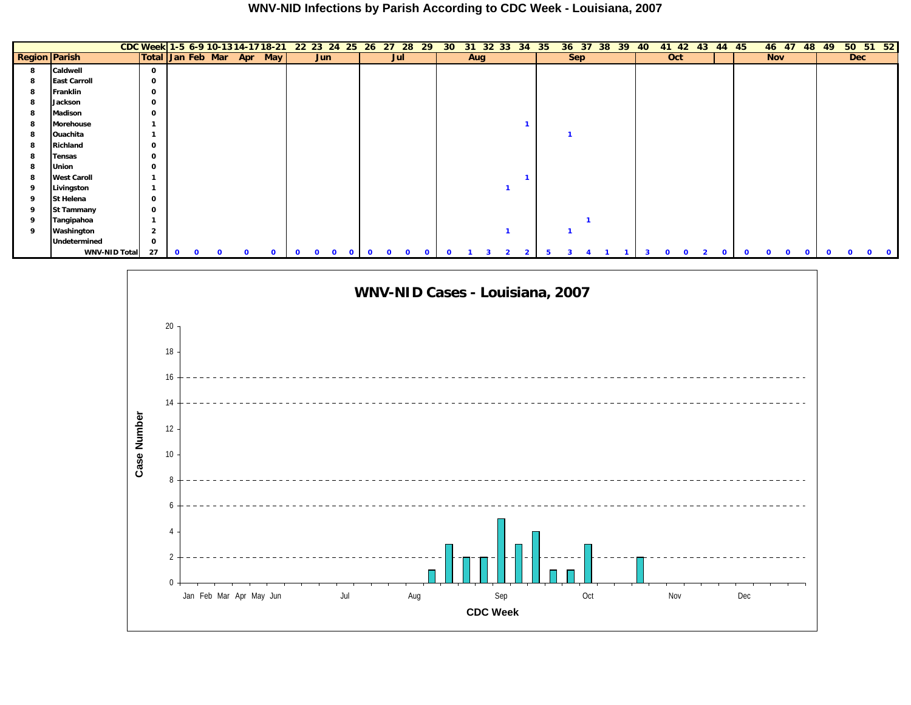|                      |                      |                           |              |              |              |          |              |             | CDC Week 1-5 6-9 10-13 14-17 18-21 22 23 24 25 26 27 |              |              | 28<br>29                | 30 <sub>o</sub> | 31  | 32 33 | 34           | -35 | 36         | 37<br>38 | 39 | 40 | 42<br>41 | 43       | 44           | -45      | 46 47      |                         | 48<br>49     | $50\;\;51\;\;52$ |  |
|----------------------|----------------------|---------------------------|--------------|--------------|--------------|----------|--------------|-------------|------------------------------------------------------|--------------|--------------|-------------------------|-----------------|-----|-------|--------------|-----|------------|----------|----|----|----------|----------|--------------|----------|------------|-------------------------|--------------|------------------|--|
| <b>Region Parish</b> |                      | Total Jan Feb Mar Apr May |              |              |              |          |              |             | Jun                                                  |              | Jul          |                         |                 | Aug |       |              |     | <b>Sep</b> |          |    |    | Oct      |          |              |          | <b>Nov</b> |                         |              | <b>Dec</b>       |  |
| 8                    | Caldwell             | 0                         |              |              |              |          |              |             |                                                      |              |              |                         |                 |     |       |              |     |            |          |    |    |          |          |              |          |            |                         |              |                  |  |
| 8                    | <b>East Carroll</b>  | 0                         |              |              |              |          |              |             |                                                      |              |              |                         |                 |     |       |              |     |            |          |    |    |          |          |              |          |            |                         |              |                  |  |
| 8                    | Franklin             | 0                         |              |              |              |          |              |             |                                                      |              |              |                         |                 |     |       |              |     |            |          |    |    |          |          |              |          |            |                         |              |                  |  |
| 8                    | Jackson              | 0                         |              |              |              |          |              |             |                                                      |              |              |                         |                 |     |       |              |     |            |          |    |    |          |          |              |          |            |                         |              |                  |  |
| 8                    | Madison              | 0                         |              |              |              |          |              |             |                                                      |              |              |                         |                 |     |       |              |     |            |          |    |    |          |          |              |          |            |                         |              |                  |  |
| 8                    | Morehouse            |                           |              |              |              |          |              |             |                                                      |              |              |                         |                 |     |       |              |     |            |          |    |    |          |          |              |          |            |                         |              |                  |  |
| 8                    | Ouachita             |                           |              |              |              |          |              |             |                                                      |              |              |                         |                 |     |       |              |     |            |          |    |    |          |          |              |          |            |                         |              |                  |  |
| 8                    | Richland             | 0                         |              |              |              |          |              |             |                                                      |              |              |                         |                 |     |       |              |     |            |          |    |    |          |          |              |          |            |                         |              |                  |  |
| 8                    | Tensas               | 0                         |              |              |              |          |              |             |                                                      |              |              |                         |                 |     |       |              |     |            |          |    |    |          |          |              |          |            |                         |              |                  |  |
| 8                    | Union                | 0                         |              |              |              |          |              |             |                                                      |              |              |                         |                 |     |       |              |     |            |          |    |    |          |          |              |          |            |                         |              |                  |  |
| 8                    | <b>West Caroll</b>   |                           |              |              |              |          |              |             |                                                      |              |              |                         |                 |     |       |              |     |            |          |    |    |          |          |              |          |            |                         |              |                  |  |
| 9                    | Livingston           |                           |              |              |              |          |              |             |                                                      |              |              |                         |                 |     |       |              |     |            |          |    |    |          |          |              |          |            |                         |              |                  |  |
| 9                    | St Helena            | 0                         |              |              |              |          |              |             |                                                      |              |              |                         |                 |     |       |              |     |            |          |    |    |          |          |              |          |            |                         |              |                  |  |
| 9                    | St Tammany           | 0                         |              |              |              |          |              |             |                                                      |              |              |                         |                 |     |       |              |     |            |          |    |    |          |          |              |          |            |                         |              |                  |  |
| 9                    | Tangipahoa           |                           |              |              |              |          |              |             |                                                      |              |              |                         |                 |     |       |              |     |            |          |    |    |          |          |              |          |            |                         |              |                  |  |
| 9                    | Washington           | $\overline{2}$            |              |              |              |          |              |             |                                                      |              |              |                         |                 |     |       |              |     |            |          |    |    |          |          |              |          |            |                         |              |                  |  |
|                      | Undetermined         | 0                         |              |              |              |          |              |             |                                                      |              |              |                         |                 |     |       |              |     |            |          |    |    |          |          |              |          |            |                         |              |                  |  |
|                      | <b>WNV-NID Total</b> | 27                        | $\mathbf{o}$ | $\mathbf{O}$ | $\mathbf{0}$ | $\Omega$ | $\mathbf{o}$ | $\mathbf 0$ | $\mathbf{O}$<br>$\mathbf 0$                          | $\mathbf{0}$ | $\mathbf{0}$ | $\Omega$<br>$\mathbf 0$ | $\Omega$        |     |       | $\mathbf{2}$ | 5   |            |          |    |    |          | $\Omega$ | $\mathbf{o}$ | $\Omega$ | $\Omega$   | $\mathbf 0$<br>$\Omega$ | $\mathbf{o}$ |                  |  |

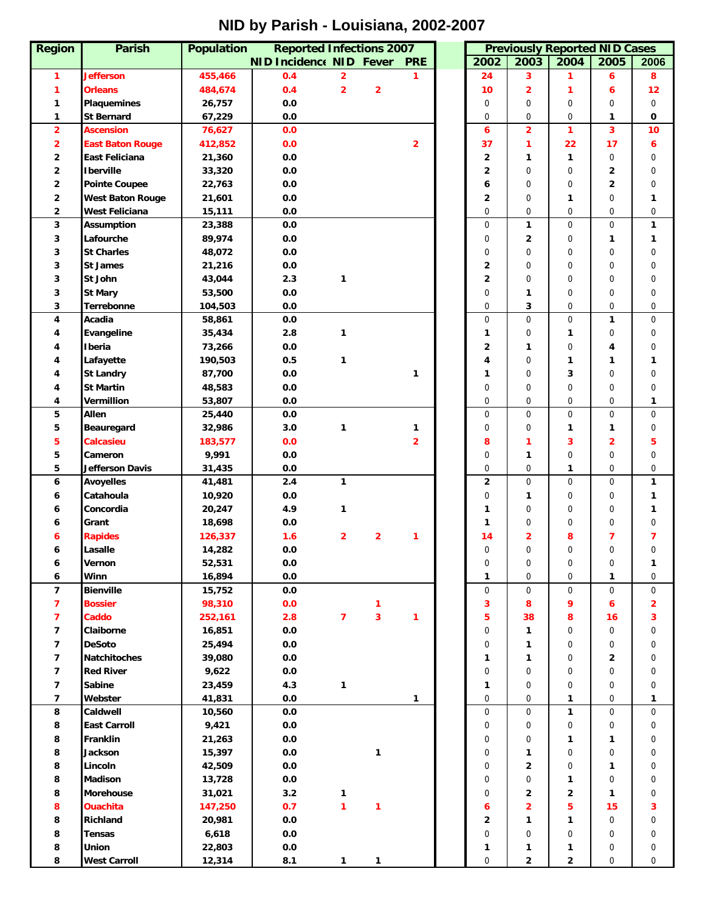# **NID by Parish - Louisiana, 2002-2007**

| <b>Region</b>           | <b>Parish</b>                 | <b>Population</b> | <b>Reported Infections 2007</b> |                         |                         |                |              |                | <b>Previously Reported NID Cases</b> |                         |                |
|-------------------------|-------------------------------|-------------------|---------------------------------|-------------------------|-------------------------|----------------|--------------|----------------|--------------------------------------|-------------------------|----------------|
|                         |                               |                   | <b>NID Incidence NID Fever</b>  |                         |                         | <b>PRE</b>     | 2002         | 2003           | 2004                                 | 2005                    | 2006           |
| 1                       | <b>Jefferson</b>              | 455,466           | 0.4                             | $\overline{2}$          |                         | 1              | 24           | 3              | 1                                    | 6                       | 8              |
| 1                       | <b>Orleans</b>                | 484,674           | 0.4                             | $\overline{2}$          | $\overline{2}$          |                | 10           | 2              | 1                                    | 6                       | 12             |
| 1                       | <b>Plaquemines</b>            | 26,757            | 0.0                             |                         |                         |                | 0            | 0              | $\mathbf 0$                          | 0                       | 0              |
| 1                       | <b>St Bernard</b>             | 67,229            | 0.0                             |                         |                         |                | $\mathbf 0$  | 0              | $\mathbf 0$                          | 1                       | 0              |
| $\overline{2}$          | <b>Ascension</b>              | 76,627            | 0.0                             |                         |                         |                | 6            | $\overline{2}$ | 1                                    | 3                       | 10             |
| $\overline{2}$          | <b>East Baton Rouge</b>       | 412,852           | 0.0                             |                         |                         | $\overline{2}$ | 37           | 1              | 22                                   | 17                      | 6              |
| 2                       | East Feliciana                |                   | 0.0                             |                         |                         |                | $\mathbf{2}$ |                | $\mathbf{1}$                         | $\mathbf 0$             | 0              |
|                         |                               | 21,360            |                                 |                         |                         |                |              | 1              |                                      |                         |                |
| 2                       | <b>I</b> berville             | 33,320            | 0.0                             |                         |                         |                | 2            | $\mathbf 0$    | $\mathbf 0$                          | 2                       | 0              |
| 2                       | <b>Pointe Coupee</b>          | 22,763            | $0.0\,$                         |                         |                         |                | 6            | 0              | $\mathbf 0$                          | 2                       | 0              |
| $\overline{\mathbf{2}}$ | <b>West Baton Rouge</b>       | 21,601            | $0.0\,$                         |                         |                         |                | 2            | 0              | 1                                    | 0                       | 1              |
| $\overline{2}$          | West Feliciana                | 15,111            | 0.0                             |                         |                         |                | $\mathbf 0$  | 0              | $\mathbf 0$                          | $\overline{0}$          | 0              |
| 3                       | <b>Assumption</b>             | 23,388            | 0.0                             |                         |                         |                | $\mathbf 0$  | 1              | $\mathbf 0$                          | $\mathsf{O}\xspace$     | 1              |
| 3                       | Lafourche                     | 89,974            | 0.0                             |                         |                         |                | 0            | 2              | $\mathbf 0$                          | 1                       | 1              |
| 3                       | <b>St Charles</b>             | 48,072            | 0.0                             |                         |                         |                | 0            | 0              | $\mathbf 0$                          | 0                       | 0              |
| 3                       | <b>St James</b>               | 21,216            | 0.0                             |                         |                         |                | 2            | $\mathbf 0$    | $\mathbf 0$                          | $\overline{0}$          | 0              |
| 3                       | St John                       | 43,044            | 2.3                             | 1                       |                         |                | 2            | 0              | 0                                    | $\overline{0}$          | 0              |
| 3                       | <b>St Mary</b>                | 53,500            | 0.0                             |                         |                         |                | $\mathbf 0$  | 1              | $\mathbf 0$                          | 0                       | 0              |
| 3                       | Terrebonne                    | 104,503           | 0.0                             |                         |                         |                | $\mathbf 0$  | 3              | $\mathbf 0$                          | $\overline{0}$          | $\mathbf 0$    |
| 4                       | Acadia                        | 58,861            | 0.0                             |                         |                         |                | $\mathbf 0$  | $\mathbf 0$    | $\mathbf 0$                          | 1                       | 0              |
| 4                       | Evangeline                    | 35,434            | 2.8                             | 1                       |                         |                | $\mathbf{1}$ | 0              | 1                                    | 0                       | 0              |
| 4                       | Iberia                        | 73,266            | $0.0\,$                         |                         |                         |                | 2            | 1              | $\mathbf 0$                          | 4                       | 0              |
|                         | Lafayette                     | 190,503           | 0.5                             | 1                       |                         |                | 4            | 0              | 1                                    | 1                       | 1              |
| 4                       | <b>St Landry</b>              | 87,700            | $0.0\,$                         |                         |                         | 1              | $\mathbf{1}$ | 0              | 3                                    | 0                       | 0              |
| 4                       | <b>St Martin</b>              | 48,583            | 0.0                             |                         |                         |                | $\mathbf 0$  | 0              | $\mathbf 0$                          | 0                       | 0              |
| 4                       | Vermillion                    | 53,807            | $0.0\,$                         |                         |                         |                | $\mathbf 0$  | 0              | $\mathbf 0$                          | $\mathbf 0$             | 1              |
| 5                       | Allen                         | 25,440            | $0.0\,$                         |                         |                         |                | $\mathbf 0$  | 0              | $\mathbf 0$                          | $\mathbf 0$             | 0              |
| 5                       | Beauregard                    | 32,986            | 3.0                             | 1                       |                         | 1              | 0            | 0              | $\mathbf{1}$                         | 1                       | 0              |
| 5                       | Calcasieu                     | 183,577           | 0.0                             |                         |                         | $\overline{2}$ | 8            | 1              | 3                                    | $\overline{\mathbf{2}}$ | 5              |
| 5                       | Cameron                       | 9,991             | $0.0\,$                         |                         |                         |                | $\mathbf 0$  | 1              | $\mathbf 0$                          | 0                       | 0              |
| 5                       | Jefferson Davis               |                   | 0.0                             |                         |                         |                | $\mathbf 0$  | $\mathbf 0$    | 1                                    | $\mathbf 0$             | 0              |
| 6                       |                               | 31,435<br>41,481  | 2.4                             | $\mathbf{1}$            |                         |                | $\mathbf{2}$ | $\mathbf 0$    | $\mathbf 0$                          | $\mathbf 0$             | 1              |
|                         | <b>Avoyelles</b><br>Catahoula |                   |                                 |                         |                         |                | $\mathbf 0$  |                |                                      | $\mathbf 0$             |                |
| 6                       |                               | 10,920            | 0.0                             |                         |                         |                |              | 1              | $\mathbf 0$                          |                         | 1              |
| 6                       | Concordia                     | 20,247            | 4.9                             | 1                       |                         |                | 1            | 0              | 0                                    | 0                       | 1              |
| 6                       | Grant                         | 18,698            | $0.0\,$                         |                         |                         |                | $\mathbf{1}$ | 0              | $\mathbf 0$                          | 0                       | $\Omega$       |
| 6                       | <b>Rapides</b>                | 126,337           | 1.6                             | $\overline{\mathbf{2}}$ | $\overline{\mathbf{2}}$ | 1              | 14           | 2              | 8                                    | 7                       | 7              |
| 6                       | Lasalle                       | 14,282            | 0.0                             |                         |                         |                | $\mathbf 0$  | $\mathbf 0$    | $\Omega$                             | 0                       | $\mathbf 0$    |
| 6                       | Vernon                        | 52,531            | 0.0                             |                         |                         |                | 0            | 0              | $\mathbf 0$                          | $\pmb{0}$               | 1              |
| 6                       | Winn                          | 16,894            | 0.0                             |                         |                         |                | 1            | 0              | $\mathbf 0$                          | 1                       | 0              |
| $\overline{7}$          | <b>Bienville</b>              | 15,752            | 0.0                             |                         |                         |                | 0            | 0              | $\mathbf 0$                          | $\mathbf 0$             | 0              |
| $\overline{7}$          | <b>Bossier</b>                | 98,310            | 0.0                             |                         | 1                       |                | 3            | 8              | 9                                    | 6                       | $\overline{2}$ |
| $\overline{7}$          | Caddo                         | 252,161           | 2.8                             | $\overline{\mathbf{z}}$ | 3                       | 1.             | 5            | 38             | 8                                    | 16                      | 3              |
| $\overline{\mathbf{z}}$ | Claiborne                     | 16,851            | 0.0                             |                         |                         |                | $\mathbf 0$  | 1              | $\mathbf 0$                          | $\mathbf 0$             | 0              |
| 7                       | <b>DeSoto</b>                 | 25,494            | 0.0                             |                         |                         |                | $\mathbf 0$  | 1              | 0                                    | $\mathbf 0$             | 0              |
| 7                       | <b>Natchitoches</b>           | 39,080            | 0.0                             |                         |                         |                | $\mathbf{1}$ | 1              | 0                                    | 2                       | 0              |
| 7                       | <b>Red River</b>              | 9,622             | 0.0                             |                         |                         |                | 0            | 0              | 0                                    | 0                       | 0              |
| $\overline{\mathbf{z}}$ | Sabine                        | 23,459            | 4.3                             | $\mathbf{1}$            |                         |                | 1            | 0              | 0                                    | $\mathbf 0$             | 0              |
| $\overline{\mathbf{z}}$ | Webster                       | 41,831            | 0.0                             |                         |                         | 1              | 0            | 0              | 1                                    | $\boldsymbol{0}$        | 1              |
| 8                       | Caldwell                      | 10,560            | 0.0                             |                         |                         |                | $\mathbf{0}$ | 0              | 1                                    | $\mathbf 0$             | 0              |
| 8                       | <b>East Carroll</b>           | 9,421             | 0.0                             |                         |                         |                | 0            | 0              | $\mathbf{0}$                         | $\mathbf 0$             | 0              |
| 8                       | Franklin                      | 21,263            | $0.0\,$                         |                         |                         |                | 0            | 0              | 1                                    | 1                       | 0              |
| 8                       | Jackson                       | 15,397            | 0.0                             |                         | 1                       |                | 0            | 1              | 0                                    | 0                       | 0              |
| 8                       | Lincoln                       | 42,509            | 0.0                             |                         |                         |                | 0            | 2              | 0                                    | 1                       | 0              |
|                         | Madison                       |                   |                                 |                         |                         |                | 0            | 0              |                                      | 0                       |                |
| 8                       |                               | 13,728            | 0.0                             |                         |                         |                |              |                | 1                                    |                         | 0              |
| 8                       | Morehouse                     | 31,021            | 3.2                             | 1                       |                         |                | $\mathbf 0$  | 2              | $\mathbf{2}$                         | 1                       | 0              |
| 8                       | <b>Ouachita</b>               | 147,250           | 0.7                             | 1                       | 1                       |                | 6            | 2              | 5                                    | 15                      | 3              |
| 8                       | Richland                      | 20,981            | 0.0                             |                         |                         |                | $\mathbf{2}$ | 1              | $\mathbf{1}$                         | $\mathbf 0$             | 0              |
| 8                       | Tensas                        | 6,618             | 0.0                             |                         |                         |                | $\mathbf 0$  | 0              | $\mathbf 0$                          | 0                       | 0              |
| 8                       | Union                         | 22,803            | 0.0                             |                         |                         |                | 1            | 1              | 1                                    | 0                       | 0              |
| 8                       | West Carroll                  | 12,314            | 8.1                             | 1                       | $\mathbf{1}$            |                | $\mathbf 0$  | $\mathbf 2$    | $\mathbf{2}$                         | $\boldsymbol{0}$        | 0              |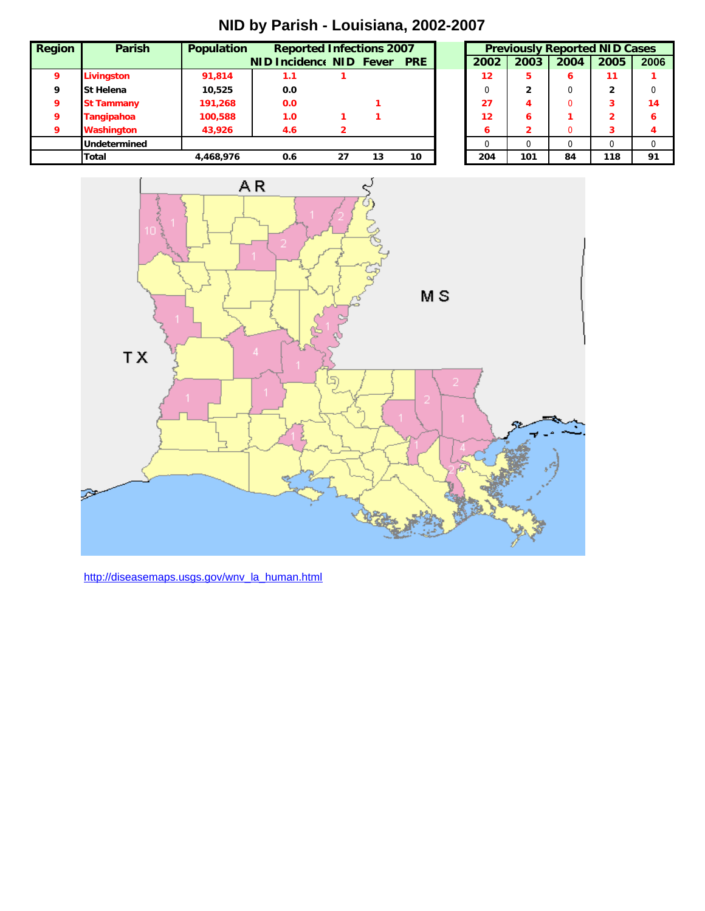**NID by Parish - Louisiana, 2002-2007**

| <b>Region</b> | <b>Parish</b>     | <b>Population</b> | <b>Reported Infections 2007</b> |    |    |    |      |      |          | <b>Previously Reported NID Cases</b> |      |
|---------------|-------------------|-------------------|---------------------------------|----|----|----|------|------|----------|--------------------------------------|------|
|               |                   |                   | NID Incidence NID Fever PRE     |    |    |    | 2002 | 2003 | 2004     | 2005                                 | 2006 |
|               | Livingston        | 91,814            | 1.1                             |    |    |    | 12   |      | 6        | 11                                   |      |
| Q             | <b>St Helena</b>  | 10.525            | 0.0                             |    |    |    | 0    |      |          | 2                                    |      |
| ο             | <b>St Tammany</b> | 191,268           | 0.0                             |    |    |    | 27   | 4    |          |                                      | 14   |
|               | <b>Tangipahoa</b> | 100,588           | 1.0                             |    |    |    | 12   | 6    |          |                                      | 6    |
| 9             | <b>Washington</b> | 43,926            | 4.6                             |    |    |    | 6    |      | 0        |                                      |      |
|               | Undetermined      |                   |                                 |    |    |    | 0    |      | $\Omega$ |                                      |      |
|               | Total             | 4.468.976         | 0.6                             | 27 | 13 | 10 | 204  | 101  | 84       | 118                                  | 91   |



http://diseasemaps.usgs.gov/wnv\_la\_human.html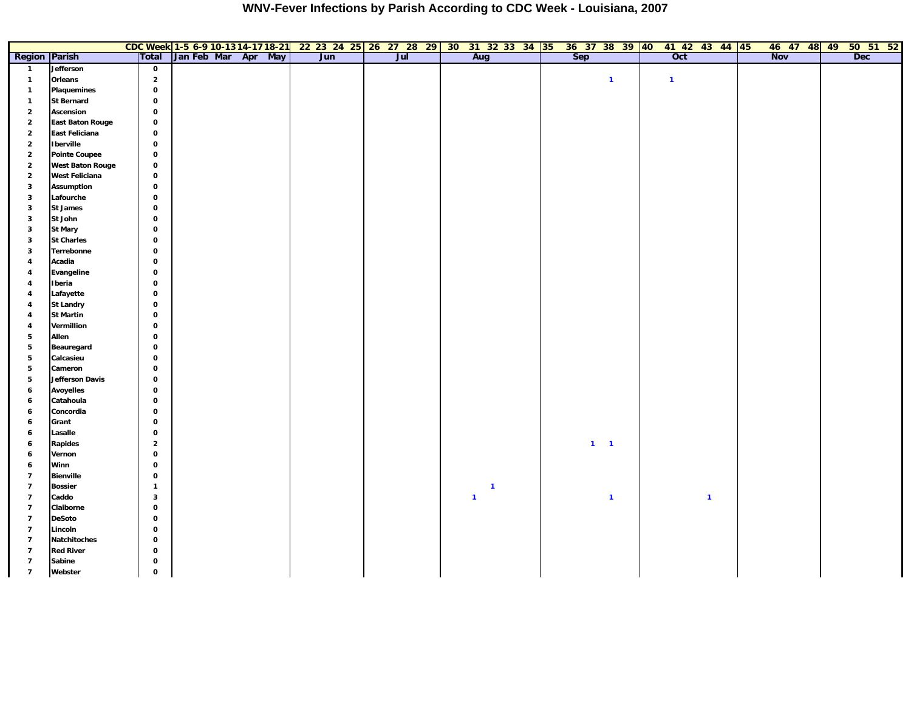|                         |                         |                         |                     |  | CDC Week 1-5 6-9 10-1314-1718-21 22 23 24 25 26 27 28 29 30 31 32 33 34 35 |                   |  |              |  | 36 37 38 39 40 41 42 43 44 45 |              |                  |              | 46 47 48 49 |  | $50$ 51 52 |
|-------------------------|-------------------------|-------------------------|---------------------|--|----------------------------------------------------------------------------|-------------------|--|--------------|--|-------------------------------|--------------|------------------|--------------|-------------|--|------------|
| <b>Region Parish</b>    |                         | Total                   | Jan Feb Mar Apr May |  | Jun                                                                        | $\overline{J}$ ul |  | Aug          |  | <b>Sep</b>                    |              | $\overline{Oct}$ |              | <b>Nov</b>  |  | <b>Dec</b> |
| $\overline{1}$          | Jefferson               | $\mathbf{o}$            |                     |  |                                                                            |                   |  |              |  |                               |              |                  |              |             |  |            |
| $\mathbf{1}$            | Orleans                 | $\overline{\mathbf{2}}$ |                     |  |                                                                            |                   |  |              |  |                               | $\mathbf{1}$ | $\mathbf{1}$     |              |             |  |            |
| $\mathbf{1}$            | Plaquemines             | $\mathbf 0$             |                     |  |                                                                            |                   |  |              |  |                               |              |                  |              |             |  |            |
| $\mathbf{1}$            | <b>St Bernard</b>       | $\mathbf 0$             |                     |  |                                                                            |                   |  |              |  |                               |              |                  |              |             |  |            |
| $\mathbf 2$             | Ascension               | $\mathbf 0$             |                     |  |                                                                            |                   |  |              |  |                               |              |                  |              |             |  |            |
| $\mathbf 2$             | <b>East Baton Rouge</b> | $\mathbf 0$             |                     |  |                                                                            |                   |  |              |  |                               |              |                  |              |             |  |            |
| $\mathbf 2$             | East Feliciana          | $\mathbf 0$             |                     |  |                                                                            |                   |  |              |  |                               |              |                  |              |             |  |            |
| $\mathbf 2$             | <b>Iberville</b>        | $\mathbf 0$             |                     |  |                                                                            |                   |  |              |  |                               |              |                  |              |             |  |            |
| $\overline{2}$          | <b>Pointe Coupee</b>    | $\mathbf 0$             |                     |  |                                                                            |                   |  |              |  |                               |              |                  |              |             |  |            |
| $\overline{2}$          | <b>West Baton Rouge</b> | $\mathbf 0$             |                     |  |                                                                            |                   |  |              |  |                               |              |                  |              |             |  |            |
| $\overline{2}$          | <b>West Feliciana</b>   | $\mathbf 0$             |                     |  |                                                                            |                   |  |              |  |                               |              |                  |              |             |  |            |
| $\mathbf{3}$            | <b>Assumption</b>       | $\mathbf 0$             |                     |  |                                                                            |                   |  |              |  |                               |              |                  |              |             |  |            |
| $\mathbf{3}$            | Lafourche               | $\mathbf 0$             |                     |  |                                                                            |                   |  |              |  |                               |              |                  |              |             |  |            |
| $\mathbf{3}$            | <b>St James</b>         | $\mathbf 0$             |                     |  |                                                                            |                   |  |              |  |                               |              |                  |              |             |  |            |
| $\mathbf{3}$            | St John                 | $\mathbf 0$             |                     |  |                                                                            |                   |  |              |  |                               |              |                  |              |             |  |            |
| $\mathbf{3}$            | <b>St Mary</b>          | $\mathbf 0$             |                     |  |                                                                            |                   |  |              |  |                               |              |                  |              |             |  |            |
| $\mathbf{3}$            | <b>St Charles</b>       | $\mathbf 0$             |                     |  |                                                                            |                   |  |              |  |                               |              |                  |              |             |  |            |
| $\mathbf{3}$            | Terrebonne              | $\mathbf 0$             |                     |  |                                                                            |                   |  |              |  |                               |              |                  |              |             |  |            |
| $\overline{4}$          | Acadia                  | $\mathbf 0$             |                     |  |                                                                            |                   |  |              |  |                               |              |                  |              |             |  |            |
| $\overline{4}$          | Evangeline              | $\mathbf 0$             |                     |  |                                                                            |                   |  |              |  |                               |              |                  |              |             |  |            |
| $\overline{\mathbf{4}}$ | Iberia                  | $\mathbf 0$             |                     |  |                                                                            |                   |  |              |  |                               |              |                  |              |             |  |            |
| $\overline{4}$          | Lafayette               | $\mathbf 0$             |                     |  |                                                                            |                   |  |              |  |                               |              |                  |              |             |  |            |
| $\overline{4}$          | <b>St Landry</b>        | $\mathbf 0$             |                     |  |                                                                            |                   |  |              |  |                               |              |                  |              |             |  |            |
| $\overline{4}$          | <b>St Martin</b>        | $\mathbf 0$             |                     |  |                                                                            |                   |  |              |  |                               |              |                  |              |             |  |            |
| $\overline{4}$          | Vermillion              | $\mathbf 0$             |                     |  |                                                                            |                   |  |              |  |                               |              |                  |              |             |  |            |
| $\overline{\mathbf{5}}$ | Allen                   | $\mathbf 0$             |                     |  |                                                                            |                   |  |              |  |                               |              |                  |              |             |  |            |
| $\overline{\mathbf{5}}$ | Beauregard              | $\mathbf 0$             |                     |  |                                                                            |                   |  |              |  |                               |              |                  |              |             |  |            |
| $5\phantom{.0}$         | Calcasieu               | $\mathbf 0$             |                     |  |                                                                            |                   |  |              |  |                               |              |                  |              |             |  |            |
| $5\phantom{.0}$         | Cameron                 | $\mathbf{o}$            |                     |  |                                                                            |                   |  |              |  |                               |              |                  |              |             |  |            |
| $5\phantom{.0}$         | <b>Jefferson Davis</b>  | $\mathbf 0$             |                     |  |                                                                            |                   |  |              |  |                               |              |                  |              |             |  |            |
| $\boldsymbol{6}$        | <b>Avoyelles</b>        | $\mathbf 0$             |                     |  |                                                                            |                   |  |              |  |                               |              |                  |              |             |  |            |
| $\boldsymbol{6}$        | Catahoula               | $\mathbf 0$             |                     |  |                                                                            |                   |  |              |  |                               |              |                  |              |             |  |            |
| $\boldsymbol{6}$        | Concordia               | $\mathbf 0$             |                     |  |                                                                            |                   |  |              |  |                               |              |                  |              |             |  |            |
| 6                       | Grant                   | $\pmb{0}$               |                     |  |                                                                            |                   |  |              |  |                               |              |                  |              |             |  |            |
| $\boldsymbol{6}$        | Lasalle                 | $\mathbf 0$             |                     |  |                                                                            |                   |  |              |  |                               |              |                  |              |             |  |            |
| 6                       | Rapides                 | $\mathbf 2$             |                     |  |                                                                            |                   |  |              |  |                               | $1 - 1$      |                  |              |             |  |            |
| $\boldsymbol{6}$        | Vernon                  | $\mathbf 0$             |                     |  |                                                                            |                   |  |              |  |                               |              |                  |              |             |  |            |
| $\boldsymbol{6}$        | Winn                    | $\mathbf{o}$            |                     |  |                                                                            |                   |  |              |  |                               |              |                  |              |             |  |            |
| $\overline{7}$          | <b>Bienville</b>        | $\mathbf{o}$            |                     |  |                                                                            |                   |  |              |  |                               |              |                  |              |             |  |            |
| $\overline{7}$          | <b>Bossier</b>          | $\mathbf{1}$            |                     |  |                                                                            |                   |  | $\mathbf{1}$ |  |                               |              |                  |              |             |  |            |
| $\overline{7}$          | Caddo                   | $\mathbf{3}$            |                     |  |                                                                            |                   |  | $\mathbf{1}$ |  |                               | $\mathbf{1}$ |                  | $\mathbf{1}$ |             |  |            |
| $\overline{7}$          | Claiborne               | $\mathbf{o}$            |                     |  |                                                                            |                   |  |              |  |                               |              |                  |              |             |  |            |
| $\overline{7}$          | <b>DeSoto</b>           | $\mathbf 0$             |                     |  |                                                                            |                   |  |              |  |                               |              |                  |              |             |  |            |
| $\overline{7}$          | Lincoln                 | $\mathbf 0$             |                     |  |                                                                            |                   |  |              |  |                               |              |                  |              |             |  |            |
| $\overline{7}$          | Natchitoches            | $\mathbf 0$             |                     |  |                                                                            |                   |  |              |  |                               |              |                  |              |             |  |            |
| $\overline{7}$          | <b>Red River</b>        | $\mathbf{o}$            |                     |  |                                                                            |                   |  |              |  |                               |              |                  |              |             |  |            |
| $\overline{7}$          | Sabine                  | $\mathbf 0$             |                     |  |                                                                            |                   |  |              |  |                               |              |                  |              |             |  |            |
| $\overline{7}$          | Webster                 | $\mathbf 0$             |                     |  |                                                                            |                   |  |              |  |                               |              |                  |              |             |  |            |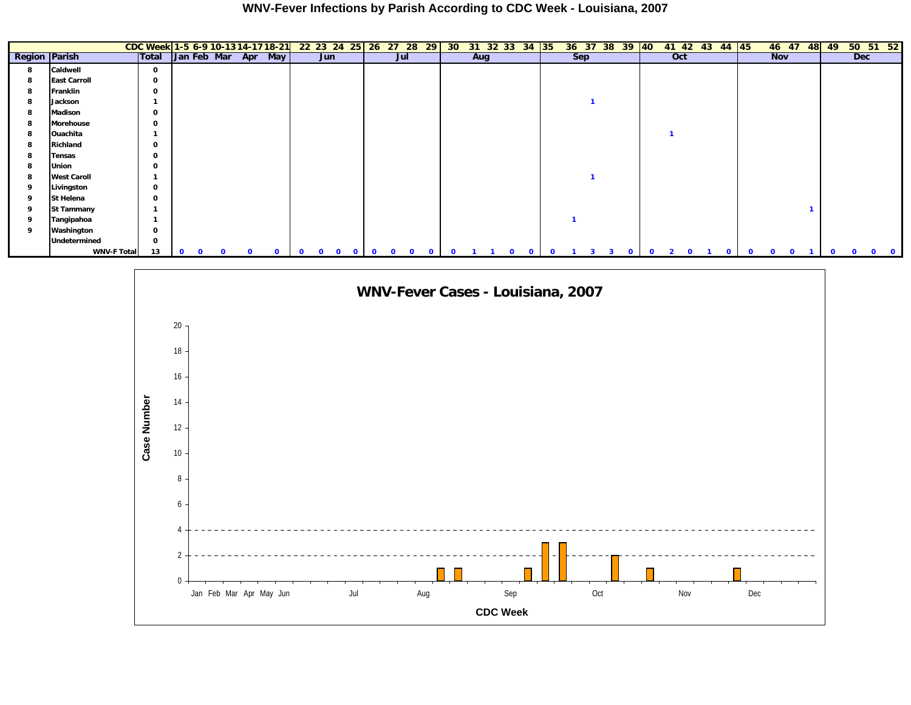|                      |                     | CDC Week 1-5 6-9 10-1314-1718-21 |             |          |          |   |          |              | 22 23 24 25 26 27 28 29  |              |              |                   |          |          |     | 30 31 32 33 34 35           |  |     | 36 37 38 39       | $ 40\rangle$ |                |              | 41 42 43 44 45 |             |            | 46 47    | 48 | 49           |            | 50 51 52 |
|----------------------|---------------------|----------------------------------|-------------|----------|----------|---|----------|--------------|--------------------------|--------------|--------------|-------------------|----------|----------|-----|-----------------------------|--|-----|-------------------|--------------|----------------|--------------|----------------|-------------|------------|----------|----|--------------|------------|----------|
| <b>Region Parish</b> |                     | Total                            | Jan Feb Mar |          |          |   | Apr May  |              | Jun                      |              |              | Jul               |          |          | Aug |                             |  | Sep |                   |              | Oct            |              |                |             | <b>Nov</b> |          |    |              | <b>Dec</b> |          |
| 8                    | Caldwell            | 0                                |             |          |          |   |          |              |                          |              |              |                   |          |          |     |                             |  |     |                   |              |                |              |                |             |            |          |    |              |            |          |
| 8                    | <b>East Carroll</b> | 0                                |             |          |          |   |          |              |                          |              |              |                   |          |          |     |                             |  |     |                   |              |                |              |                |             |            |          |    |              |            |          |
| 8                    | Franklin            | 0                                |             |          |          |   |          |              |                          |              |              |                   |          |          |     |                             |  |     |                   |              |                |              |                |             |            |          |    |              |            |          |
| 8                    | Jackson             |                                  |             |          |          |   |          |              |                          |              |              |                   |          |          |     |                             |  |     |                   |              |                |              |                |             |            |          |    |              |            |          |
| 8                    | Madison             | 0                                |             |          |          |   |          |              |                          |              |              |                   |          |          |     |                             |  |     |                   |              |                |              |                |             |            |          |    |              |            |          |
| 8                    | Morehouse           | 0                                |             |          |          |   |          |              |                          |              |              |                   |          |          |     |                             |  |     |                   |              |                |              |                |             |            |          |    |              |            |          |
| 8                    | Ouachita            |                                  |             |          |          |   |          |              |                          |              |              |                   |          |          |     |                             |  |     |                   |              |                |              |                |             |            |          |    |              |            |          |
| 8                    | Richland            | 0                                |             |          |          |   |          |              |                          |              |              |                   |          |          |     |                             |  |     |                   |              |                |              |                |             |            |          |    |              |            |          |
| 8                    | Tensas              | 0                                |             |          |          |   |          |              |                          |              |              |                   |          |          |     |                             |  |     |                   |              |                |              |                |             |            |          |    |              |            |          |
| 8                    | Union               | 0                                |             |          |          |   |          |              |                          |              |              |                   |          |          |     |                             |  |     |                   |              |                |              |                |             |            |          |    |              |            |          |
| 8                    | <b>West Caroll</b>  |                                  |             |          |          |   |          |              |                          |              |              |                   |          |          |     |                             |  |     |                   |              |                |              |                |             |            |          |    |              |            |          |
| 9                    | Livingston          | 0                                |             |          |          |   |          |              |                          |              |              |                   |          |          |     |                             |  |     |                   |              |                |              |                |             |            |          |    |              |            |          |
| 9                    | St Helena           | 0                                |             |          |          |   |          |              |                          |              |              |                   |          |          |     |                             |  |     |                   |              |                |              |                |             |            |          |    |              |            |          |
| 9                    | <b>St Tammany</b>   |                                  |             |          |          |   |          |              |                          |              |              |                   |          |          |     |                             |  |     |                   |              |                |              |                |             |            |          |    |              |            |          |
| 9                    | Tangipahoa          |                                  |             |          |          |   |          |              |                          |              |              |                   |          |          |     |                             |  |     |                   |              |                |              |                |             |            |          |    |              |            |          |
| 9                    | Washington          | 0                                |             |          |          |   |          |              |                          |              |              |                   |          |          |     |                             |  |     |                   |              |                |              |                |             |            |          |    |              |            |          |
|                      | Undetermined        | 0                                |             |          |          |   |          |              |                          |              |              |                   |          |          |     |                             |  |     |                   |              |                |              |                |             |            |          |    |              |            |          |
|                      | WNV-F Total         | 13                               | $\Omega$    | $\Omega$ | $\Omega$ | 0 | $\Omega$ | $\mathbf{o}$ | $\Omega$<br>$\mathbf{0}$ | $\mathbf{o}$ | $\mathbf{0}$ | $\mathbf{o}$<br>0 | $\Omega$ | $\Omega$ |     | $\mathbf 0$<br>$\mathbf{o}$ |  |     | 3<br>$\mathbf{0}$ | $\Omega$     | $\overline{2}$ | $\mathbf{0}$ | o              | $\mathbf 0$ | $\Omega$   | $\Omega$ |    | $\mathbf{o}$ |            |          |

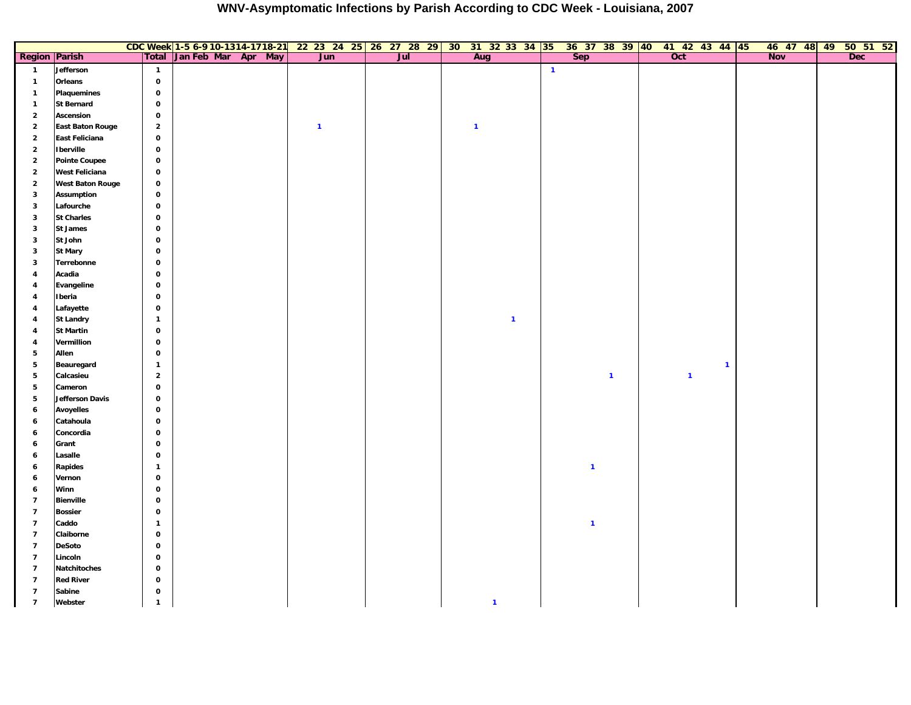|                                  |                                  |                              | CDC Week 1-5 6-9 10-1314-1718-21 | 22 23 24 25 26 27 28 29 30 31 32 33 34 35 36 37 38 39 40 41 42 43 44 45 |     |                |              |              |              |                  |              | 46 47 48 49 |  | 50 51 52 |
|----------------------------------|----------------------------------|------------------------------|----------------------------------|-------------------------------------------------------------------------|-----|----------------|--------------|--------------|--------------|------------------|--------------|-------------|--|----------|
| <b>Region Parish</b>             |                                  | Total                        | Jan Feb Mar Apr May              | Jun                                                                     | Jul | Aug            |              | <b>Sep</b>   |              | $\overline{Oct}$ |              | <b>Nov</b>  |  | Dec      |
| $\mathbf{1}$                     | Jefferson                        | $\mathbf{1}$                 |                                  |                                                                         |     |                | $\mathbf{1}$ |              |              |                  |              |             |  |          |
| $\mathbf{1}$                     | Orleans                          | $\mathbf{o}$                 |                                  |                                                                         |     |                |              |              |              |                  |              |             |  |          |
| $\mathbf{1}$                     | Plaquemines                      | $\mathbf{o}$                 |                                  |                                                                         |     |                |              |              |              |                  |              |             |  |          |
| $\mathbf{1}$                     | <b>St Bernard</b>                | $\mathbf 0$                  |                                  |                                                                         |     |                |              |              |              |                  |              |             |  |          |
| $\overline{\mathbf{2}}$          | <b>Ascension</b>                 | $\mathbf{o}$                 |                                  |                                                                         |     |                |              |              |              |                  |              |             |  |          |
| $\overline{2}$                   | <b>East Baton Rouge</b>          | $\mathbf 2$                  |                                  | $\mathbf{1}$                                                            |     | $\overline{1}$ |              |              |              |                  |              |             |  |          |
| $\overline{2}$                   | East Feliciana                   | $\mathbf 0$                  |                                  |                                                                         |     |                |              |              |              |                  |              |             |  |          |
| $\mathbf 2$                      | <b>Iberville</b>                 | $\mathbf{o}$                 |                                  |                                                                         |     |                |              |              |              |                  |              |             |  |          |
| $\overline{\mathbf{2}}$          | <b>Pointe Coupee</b>             | $\mathbf{o}$                 |                                  |                                                                         |     |                |              |              |              |                  |              |             |  |          |
| $\overline{\mathbf{2}}$          | <b>West Feliciana</b>            | $\mathbf{o}$                 |                                  |                                                                         |     |                |              |              |              |                  |              |             |  |          |
| $\overline{\mathbf{2}}$          | <b>West Baton Rouge</b>          | $\mathbf 0$                  |                                  |                                                                         |     |                |              |              |              |                  |              |             |  |          |
| $\mathbf{3}$                     | <b>Assumption</b>                | $\mathbf 0$                  |                                  |                                                                         |     |                |              |              |              |                  |              |             |  |          |
| $\overline{\mathbf{3}}$          | Lafourche                        | $\mathbf 0$                  |                                  |                                                                         |     |                |              |              |              |                  |              |             |  |          |
| $\mathbf{3}$                     | <b>St Charles</b>                | $\mathbf{o}$                 |                                  |                                                                         |     |                |              |              |              |                  |              |             |  |          |
| $\overline{\mathbf{3}}$          | <b>St James</b>                  | $\mathbf 0$                  |                                  |                                                                         |     |                |              |              |              |                  |              |             |  |          |
| $\overline{\mathbf{3}}$          | St John                          | $\mathbf{o}$                 |                                  |                                                                         |     |                |              |              |              |                  |              |             |  |          |
| $\mathbf{3}$                     | <b>St Mary</b>                   | $\mathbf{o}$                 |                                  |                                                                         |     |                |              |              |              |                  |              |             |  |          |
| $\overline{\mathbf{3}}$          | Terrebonne                       | $\mathbf{o}$                 |                                  |                                                                         |     |                |              |              |              |                  |              |             |  |          |
| $\overline{4}$                   | Acadia                           | $\mathbf{o}$                 |                                  |                                                                         |     |                |              |              |              |                  |              |             |  |          |
| $\overline{4}$                   | Evangeline                       | $\mathbf{o}$                 |                                  |                                                                         |     |                |              |              |              |                  |              |             |  |          |
| $\overline{\mathbf{4}}$          | Iberia                           | $\mathbf{o}$                 |                                  |                                                                         |     |                |              |              |              |                  |              |             |  |          |
| $\overline{4}$                   | Lafayette                        | $\mathbf 0$                  |                                  |                                                                         |     |                |              |              |              |                  |              |             |  |          |
| $\overline{\mathbf{4}}$          | <b>St Landry</b>                 | $\mathbf{1}$                 |                                  |                                                                         |     | $\mathbf{1}$   |              |              |              |                  |              |             |  |          |
| $\overline{4}$                   | <b>St Martin</b>                 | $\mathbf 0$                  |                                  |                                                                         |     |                |              |              |              |                  |              |             |  |          |
| $\overline{\mathbf{4}}$          | Vermillion                       | $\mathbf 0$                  |                                  |                                                                         |     |                |              |              |              |                  |              |             |  |          |
| 5                                | Allen                            | $\mathbf 0$                  |                                  |                                                                         |     |                |              |              |              |                  |              |             |  |          |
| 5                                | Beauregard                       | $\mathbf{1}$                 |                                  |                                                                         |     |                |              |              |              |                  | $\mathbf{1}$ |             |  |          |
| 5                                | Calcasieu                        | $\overline{2}$               |                                  |                                                                         |     |                |              |              | $\mathbf{1}$ | $\mathbf{1}$     |              |             |  |          |
| 5                                | Cameron                          | $\mathbf 0$                  |                                  |                                                                         |     |                |              |              |              |                  |              |             |  |          |
| 5                                | Jefferson Davis                  | $\mathbf 0$                  |                                  |                                                                         |     |                |              |              |              |                  |              |             |  |          |
| $\overline{\mathbf{6}}$          | <b>Avoyelles</b>                 | $\mathbf 0$                  |                                  |                                                                         |     |                |              |              |              |                  |              |             |  |          |
| 6                                | Catahoula                        | $\mathbf 0$                  |                                  |                                                                         |     |                |              |              |              |                  |              |             |  |          |
| 6                                | Concordia                        | $\mathbf 0$                  |                                  |                                                                         |     |                |              |              |              |                  |              |             |  |          |
| 6                                | Grant                            | $\mathbf 0$                  |                                  |                                                                         |     |                |              |              |              |                  |              |             |  |          |
| 6                                | Lasalle                          | $\mathbf 0$                  |                                  |                                                                         |     |                |              |              |              |                  |              |             |  |          |
| 6                                | <b>Rapides</b>                   | $\mathbf{1}$                 |                                  |                                                                         |     |                |              | $\mathbf{1}$ |              |                  |              |             |  |          |
| 6                                | Vernon                           | $\mathbf 0$                  |                                  |                                                                         |     |                |              |              |              |                  |              |             |  |          |
| 6                                | Winn                             | $\mathbf{o}$                 |                                  |                                                                         |     |                |              |              |              |                  |              |             |  |          |
| $\overline{7}$                   | <b>Bienville</b>                 | $\mathbf 0$                  |                                  |                                                                         |     |                |              |              |              |                  |              |             |  |          |
| $\overline{7}$<br>$\overline{7}$ | <b>Bossier</b><br>Caddo          | $\mathbf{o}$                 |                                  |                                                                         |     |                |              | $\mathbf{1}$ |              |                  |              |             |  |          |
| $\overline{7}$                   | Claiborne                        | $\mathbf{1}$<br>$\mathbf 0$  |                                  |                                                                         |     |                |              |              |              |                  |              |             |  |          |
|                                  |                                  |                              |                                  |                                                                         |     |                |              |              |              |                  |              |             |  |          |
| $\overline{7}$<br>$\overline{7}$ | <b>DeSoto</b>                    | $\mathbf{o}$                 |                                  |                                                                         |     |                |              |              |              |                  |              |             |  |          |
| $\overline{7}$                   | Lincoln                          | $\mathbf{o}$                 |                                  |                                                                         |     |                |              |              |              |                  |              |             |  |          |
| $\overline{7}$                   | Natchitoches<br><b>Red River</b> | $\mathbf{o}$<br>$\mathbf{o}$ |                                  |                                                                         |     |                |              |              |              |                  |              |             |  |          |
| $\overline{7}$                   | Sabine                           | $\mathbf 0$                  |                                  |                                                                         |     |                |              |              |              |                  |              |             |  |          |
| $\overline{7}$                   | Webster                          |                              |                                  |                                                                         |     | $\mathbf{1}$   |              |              |              |                  |              |             |  |          |
|                                  |                                  | $\mathbf{1}$                 |                                  |                                                                         |     |                |              |              |              |                  |              |             |  |          |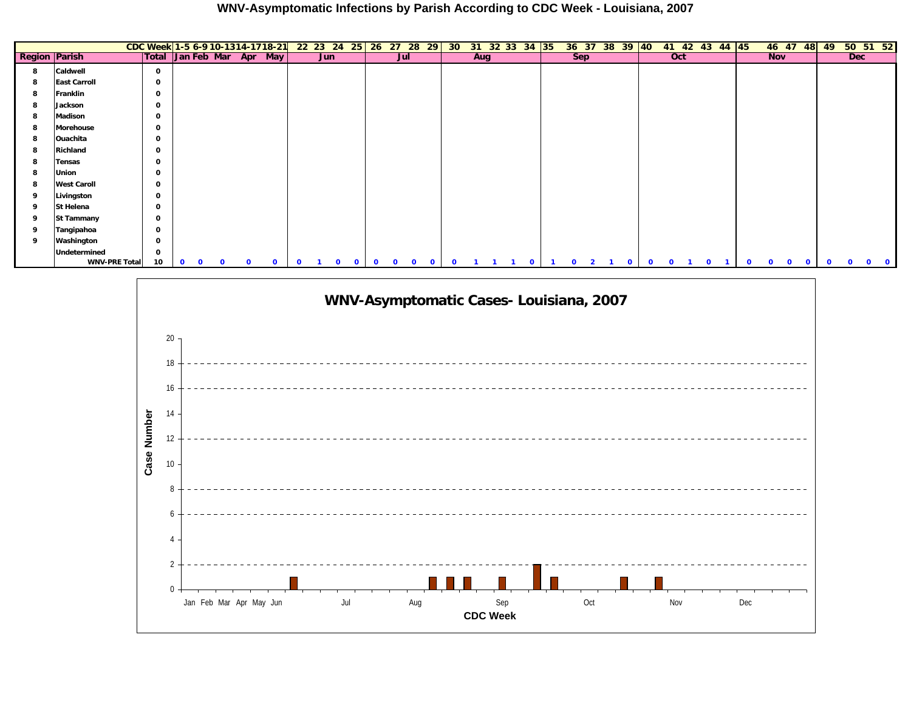|                      |                      | CDC Week 1-5 6-9 10-1314-1718-21 22 23 24 25 26 27 28 29 |             |          |              |          |              |              |     |                          |              |          |                              | 30 <sup>°</sup> |     | 31 32 33 34 35 |              |              |                | 36 37 38 39 40 |              | 41 42 43 44 45 |              |              |              | 46 47 48    |              | 49           | 50 51 52                     |              |
|----------------------|----------------------|----------------------------------------------------------|-------------|----------|--------------|----------|--------------|--------------|-----|--------------------------|--------------|----------|------------------------------|-----------------|-----|----------------|--------------|--------------|----------------|----------------|--------------|----------------|--------------|--------------|--------------|-------------|--------------|--------------|------------------------------|--------------|
| <b>Region Parish</b> |                      | Total Jan Feb Mar Apr May                                |             |          |              |          |              |              | Jun |                          |              | Jul      |                              |                 | Aug |                |              |              | <b>Sep</b>     |                |              | Oct            |              |              | <b>Nov</b>   |             |              |              | <b>Dec</b>                   |              |
| 8                    | Caldwell             | 0                                                        |             |          |              |          |              |              |     |                          |              |          |                              |                 |     |                |              |              |                |                |              |                |              |              |              |             |              |              |                              |              |
| 8                    | <b>East Carroll</b>  | 0                                                        |             |          |              |          |              |              |     |                          |              |          |                              |                 |     |                |              |              |                |                |              |                |              |              |              |             |              |              |                              |              |
| 8                    | Franklin             | 0                                                        |             |          |              |          |              |              |     |                          |              |          |                              |                 |     |                |              |              |                |                |              |                |              |              |              |             |              |              |                              |              |
| 8                    | Jackson              | 0                                                        |             |          |              |          |              |              |     |                          |              |          |                              |                 |     |                |              |              |                |                |              |                |              |              |              |             |              |              |                              |              |
| 8                    | Madison              | 0                                                        |             |          |              |          |              |              |     |                          |              |          |                              |                 |     |                |              |              |                |                |              |                |              |              |              |             |              |              |                              |              |
| 8                    | <b>Morehouse</b>     | 0                                                        |             |          |              |          |              |              |     |                          |              |          |                              |                 |     |                |              |              |                |                |              |                |              |              |              |             |              |              |                              |              |
| 8                    | Ouachita             | 0                                                        |             |          |              |          |              |              |     |                          |              |          |                              |                 |     |                |              |              |                |                |              |                |              |              |              |             |              |              |                              |              |
| 8                    | Richland             | 0                                                        |             |          |              |          |              |              |     |                          |              |          |                              |                 |     |                |              |              |                |                |              |                |              |              |              |             |              |              |                              |              |
| 8                    | <b>Tensas</b>        | 0                                                        |             |          |              |          |              |              |     |                          |              |          |                              |                 |     |                |              |              |                |                |              |                |              |              |              |             |              |              |                              |              |
| 8                    | Union                | 0                                                        |             |          |              |          |              |              |     |                          |              |          |                              |                 |     |                |              |              |                |                |              |                |              |              |              |             |              |              |                              |              |
| 8                    | <b>West Caroll</b>   | 0                                                        |             |          |              |          |              |              |     |                          |              |          |                              |                 |     |                |              |              |                |                |              |                |              |              |              |             |              |              |                              |              |
| 9                    | Livingston           | 0                                                        |             |          |              |          |              |              |     |                          |              |          |                              |                 |     |                |              |              |                |                |              |                |              |              |              |             |              |              |                              |              |
| 9                    | St Helena            | $\mathbf{o}$                                             |             |          |              |          |              |              |     |                          |              |          |                              |                 |     |                |              |              |                |                |              |                |              |              |              |             |              |              |                              |              |
| 9                    | <b>St Tammany</b>    | 0                                                        |             |          |              |          |              |              |     |                          |              |          |                              |                 |     |                |              |              |                |                |              |                |              |              |              |             |              |              |                              |              |
| 9                    | Tangipahoa           | 0                                                        |             |          |              |          |              |              |     |                          |              |          |                              |                 |     |                |              |              |                |                |              |                |              |              |              |             |              |              |                              |              |
| 9                    | Washington           | 0                                                        |             |          |              |          |              |              |     |                          |              |          |                              |                 |     |                |              |              |                |                |              |                |              |              |              |             |              |              |                              |              |
|                      | Undetermined         | 0                                                        |             |          |              |          |              |              |     |                          |              |          |                              |                 |     |                |              |              |                |                |              |                |              |              |              |             |              |              |                              |              |
|                      | <b>WNV-PRE Total</b> | 10                                                       | $\mathbf 0$ | $\Omega$ | $\mathbf{o}$ | $\Omega$ | $\mathbf{0}$ | $\mathbf{o}$ |     | $\Omega$<br>$\mathbf{o}$ | $\mathbf{o}$ | $\Omega$ | $\mathbf{0}$<br>$\mathbf{o}$ | $\mathbf{0}$    |     |                | $\mathbf{o}$ | $\mathbf{o}$ | $\overline{2}$ | $\mathbf{0}$   | $\mathbf{o}$ | $\mathbf{0}$   | $\mathbf{o}$ | $\mathbf{o}$ | $\mathbf{O}$ | $\mathbf 0$ | $\mathbf{O}$ | $\mathbf{o}$ | $\mathbf{o}$<br>$\mathbf{O}$ | $\mathbf{o}$ |

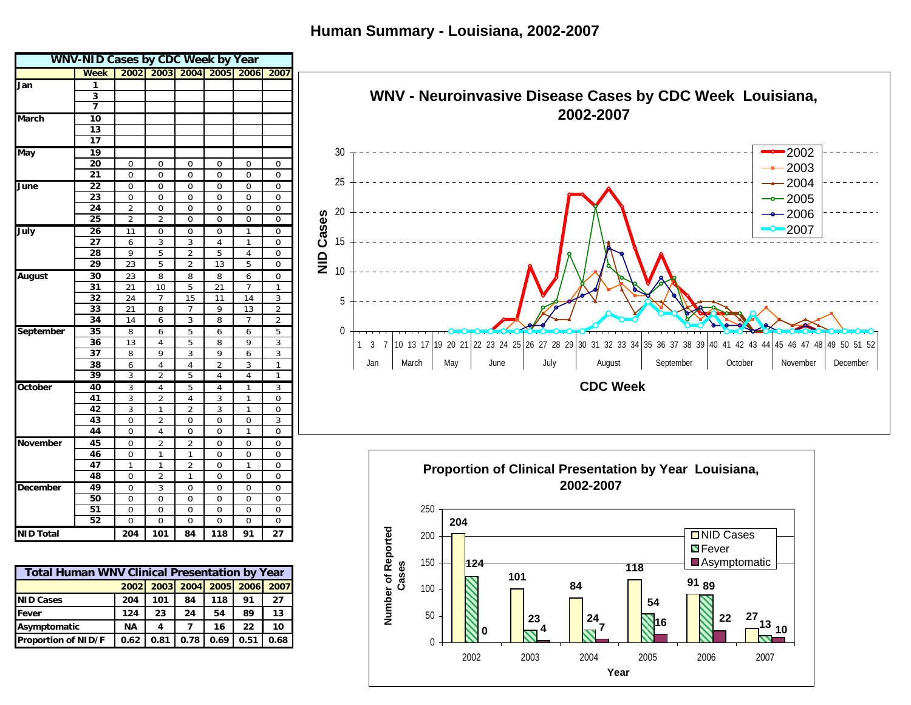**Human Summary - Louisiana, 2002-2007**



0

50

 $\frac{27}{13}$ 

**22**

**10**

**0**  $\begin{bmatrix} 23 & 24 \\ -3 & 7 \end{bmatrix}$  **16**  $\begin{bmatrix} 22 & 27 \\ 1 & 21 \end{bmatrix}$ 

2002 2003 2004 2005 2006 2007**Year**

**23**

**54**

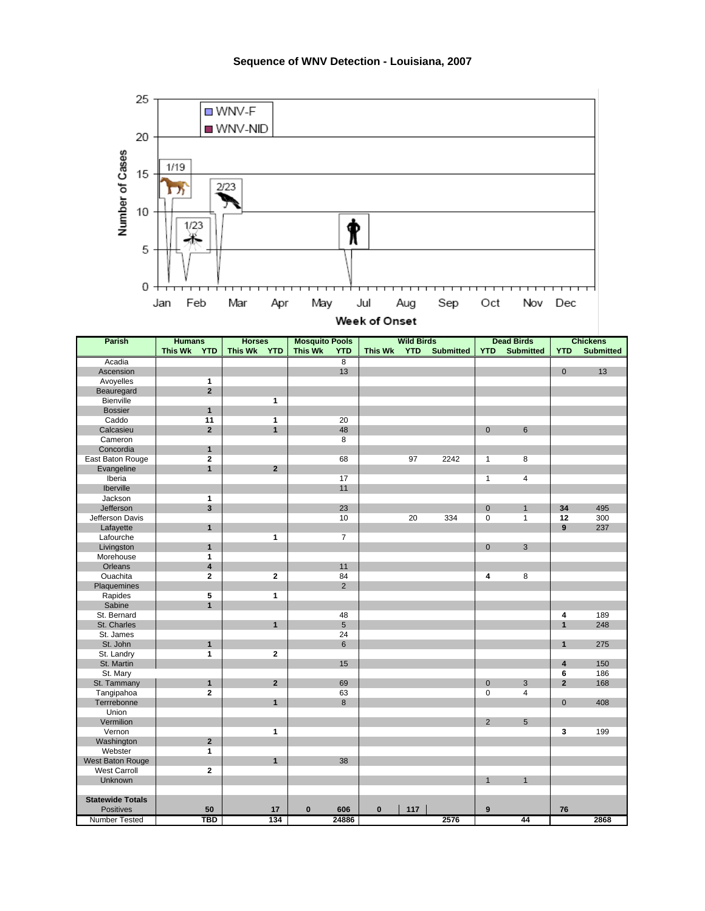

|  |  | Week of Onset |
|--|--|---------------|
|  |  |               |

| <b>Parish</b>           | <b>Humans</b>                | <b>Horses</b>                | <b>Mosquito Pools</b>        | <b>Wild Birds</b>                         | <b>Dead Birds</b>                 | <b>Chickens</b>                |
|-------------------------|------------------------------|------------------------------|------------------------------|-------------------------------------------|-----------------------------------|--------------------------------|
|                         | <b>This Wk</b><br><b>YTD</b> | <b>This Wk</b><br><b>YTD</b> | <b>This Wk</b><br><b>YTD</b> | <b>YTD</b><br><b>Submitted</b><br>This Wk | <b>Submitted</b><br><b>YTD</b>    | <b>Submitted</b><br><b>YTD</b> |
| Acadia                  |                              |                              | $\overline{8}$               |                                           |                                   |                                |
| Ascension               |                              |                              | 13                           |                                           |                                   | $\mathbf 0$<br>13              |
| Avoyelles               | 1                            |                              |                              |                                           |                                   |                                |
| Beauregard              | $\overline{2}$               |                              |                              |                                           |                                   |                                |
| Bienville               |                              | 1                            |                              |                                           |                                   |                                |
| <b>Bossier</b>          | $\mathbf{1}$                 |                              |                              |                                           |                                   |                                |
| Caddo                   | 11                           | $\mathbf{1}$                 | 20                           |                                           |                                   |                                |
| Calcasieu               | $\overline{2}$               | $\mathbf{1}$                 | 48                           |                                           | $6\phantom{1}$<br>$\mathbf 0$     |                                |
| Cameron                 |                              |                              | 8                            |                                           |                                   |                                |
| Concordia               | $\mathbf{1}$                 |                              |                              |                                           |                                   |                                |
| East Baton Rouge        | $\mathbf 2$                  |                              | 68                           | 97<br>2242                                | $\mathbf{1}$<br>8                 |                                |
| Evangeline              | $\mathbf{1}$                 | $\overline{2}$               |                              |                                           |                                   |                                |
| Iberia                  |                              |                              | 17                           |                                           | $\mathbf{1}$<br>4                 |                                |
| Iberville               |                              |                              | 11                           |                                           |                                   |                                |
| Jackson                 | $\mathbf{1}$                 |                              |                              |                                           |                                   |                                |
| Jefferson               | 3                            |                              | 23                           |                                           | $\mathbf{0}$<br>$\mathbf{1}$      | 495<br>34                      |
| Jefferson Davis         |                              |                              | 10                           | 334<br>20                                 | 0<br>$\mathbf{1}$                 | 12<br>300                      |
| Lafayette               | $\overline{1}$               |                              |                              |                                           |                                   | 9<br>237                       |
| Lafourche               |                              | $\mathbf{1}$                 | $\overline{7}$               |                                           |                                   |                                |
| Livingston              | $\mathbf{1}$                 |                              |                              |                                           | $\mathbf 0$<br>$\mathbf{3}$       |                                |
| Morehouse               | $\mathbf{1}$                 |                              |                              |                                           |                                   |                                |
| Orleans                 | 4                            |                              | 11                           |                                           |                                   |                                |
| Ouachita                | $\mathbf{2}$                 | $\overline{2}$               | 84                           |                                           | 8<br>4                            |                                |
| Plaquemines             |                              |                              | $\overline{2}$               |                                           |                                   |                                |
| Rapides                 | 5                            | $\mathbf{1}$                 |                              |                                           |                                   |                                |
| Sabine                  | $\mathbf{1}$                 |                              |                              |                                           |                                   |                                |
| St. Bernard             |                              |                              | 48                           |                                           |                                   | 189<br>4                       |
| St. Charles             |                              | $\mathbf{1}$                 | $5\phantom{.0}$              |                                           |                                   | $\mathbf{1}$<br>248            |
| St. James               |                              |                              | 24                           |                                           |                                   |                                |
| St. John                | $\mathbf{1}$                 |                              | 6                            |                                           |                                   | $\mathbf{1}$<br>275            |
| St. Landry              | 1                            | $\mathbf{2}$                 |                              |                                           |                                   |                                |
| St. Martin              |                              |                              | 15                           |                                           |                                   | 150<br>4                       |
| St. Mary                |                              |                              |                              |                                           |                                   | 186<br>6                       |
| St. Tammany             | $\mathbf{1}$                 | $\overline{2}$               | 69                           |                                           | 3<br>0                            | $\overline{\mathbf{2}}$<br>168 |
| Tangipahoa              | $\overline{\mathbf{2}}$      |                              | 63                           |                                           | $\overline{4}$<br>$\Omega$        |                                |
| Terrrebonne             |                              | $\overline{1}$               | 8                            |                                           |                                   | $\mathbf 0$<br>408             |
| Union                   |                              |                              |                              |                                           |                                   |                                |
| Vermilion               |                              |                              |                              |                                           | $\overline{2}$<br>$5\phantom{.0}$ |                                |
| Vernon                  |                              | $\mathbf{1}$                 |                              |                                           |                                   | 3<br>199                       |
| Washington              | $\overline{2}$               |                              |                              |                                           |                                   |                                |
| Webster                 | $\mathbf{1}$                 |                              |                              |                                           |                                   |                                |
| West Baton Rouge        |                              | $\mathbf{1}$                 | 38                           |                                           |                                   |                                |
| <b>West Carroll</b>     | $\overline{2}$               |                              |                              |                                           |                                   |                                |
| Unknown                 |                              |                              |                              |                                           | $\mathbf{1}$<br>$\mathbf{1}$      |                                |
|                         |                              |                              |                              |                                           |                                   |                                |
| <b>Statewide Totals</b> |                              |                              |                              |                                           |                                   |                                |
| <b>Positives</b>        | 50                           | 17                           | $\bf{0}$<br>606              | $\mathbf{0}$<br>117                       | $\overline{9}$                    | 76                             |
| <b>Number Tested</b>    | TBD                          | 134                          | 24886                        | 2576                                      | 44                                | 2868                           |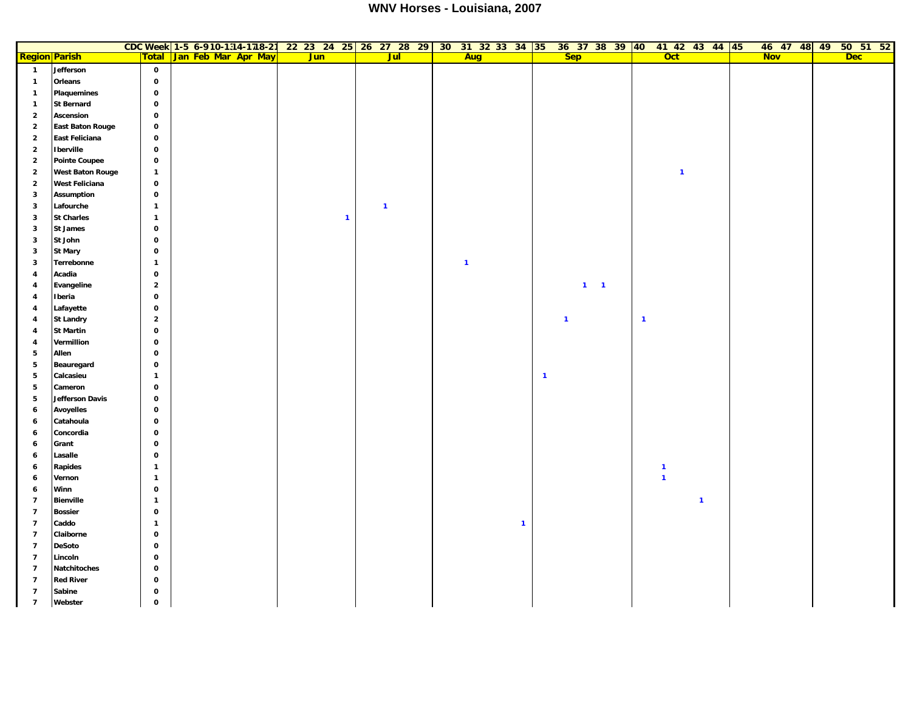## **WNV Horses - Louisiana, 2007**

|                          |                         |                | CDC Week 1-5 6-910-1314-1718-21 22 23 24 25 26 27 28 29 30 31 32 33 34 35 |              |                         |              |                | 36 37 38 39 40 41 42 43 44 45 | 46 47 48 49 50 51 52     |
|--------------------------|-------------------------|----------------|---------------------------------------------------------------------------|--------------|-------------------------|--------------|----------------|-------------------------------|--------------------------|
|                          | <b>Region Parish</b>    | <b>Total</b>   | Jan Feb Mar Apr May                                                       | <b>Jun</b>   | <b>Jul</b>              | Aug          | <b>Sep</b>     | <b>Oct</b>                    | <b>Nov</b><br><b>Dec</b> |
| $\overline{1}$           | Jefferson               | $\mathbf 0$    |                                                                           |              |                         |              |                |                               |                          |
| $\mathbf{1}$             | Orleans                 | $\mathbf 0$    |                                                                           |              |                         |              |                |                               |                          |
| $\mathbf{1}$             | <b>Plaquemines</b>      | $\mathbf{o}$   |                                                                           |              |                         |              |                |                               |                          |
| $\mathbf{1}$             | <b>St Bernard</b>       | $\mathbf{o}$   |                                                                           |              |                         |              |                |                               |                          |
| $\overline{\mathbf{2}}$  | Ascension               | $\mathbf 0$    |                                                                           |              |                         |              |                |                               |                          |
| $\overline{\mathbf{2}}$  | <b>East Baton Rouge</b> | $\mathbf 0$    |                                                                           |              |                         |              |                |                               |                          |
| $\mathbf 2$              | East Feliciana          | $\mathbf 0$    |                                                                           |              |                         |              |                |                               |                          |
| $\overline{\mathbf{2}}$  | <b>I</b> berville       | $\mathbf 0$    |                                                                           |              |                         |              |                |                               |                          |
| $\mathbf 2$              | <b>Pointe Coupee</b>    | $\mathbf 0$    |                                                                           |              |                         |              |                |                               |                          |
| $\overline{\mathbf{2}}$  | <b>West Baton Rouge</b> | $\mathbf{1}$   |                                                                           |              |                         |              |                | $\mathbf{1}$                  |                          |
| $\overline{\mathbf{2}}$  | <b>West Feliciana</b>   | $\mathbf 0$    |                                                                           |              |                         |              |                |                               |                          |
| 3                        | <b>Assumption</b>       | $\mathbf 0$    |                                                                           |              |                         |              |                |                               |                          |
| 3                        | Lafourche               | $\mathbf{1}$   |                                                                           |              | $\overline{\mathbf{1}}$ |              |                |                               |                          |
| 3                        | <b>St Charles</b>       | $\mathbf{1}$   |                                                                           | $\mathbf{1}$ |                         |              |                |                               |                          |
| 3                        | St James                | $\mathbf 0$    |                                                                           |              |                         |              |                |                               |                          |
| 3                        | St John                 | $\mathbf{o}$   |                                                                           |              |                         |              |                |                               |                          |
| 3                        | <b>St Mary</b>          | $\mathbf 0$    |                                                                           |              |                         |              |                |                               |                          |
| 3                        | Terrebonne              | $\mathbf{1}$   |                                                                           |              |                         | $\mathbf{1}$ |                |                               |                          |
| $\pmb{4}$                | Acadia                  | $\mathbf{o}$   |                                                                           |              |                         |              |                |                               |                          |
| $\overline{\mathbf{4}}$  | Evangeline              | $\overline{2}$ |                                                                           |              |                         |              | $1 \quad 1$    |                               |                          |
| 4                        | Iberia                  | $\mathbf 0$    |                                                                           |              |                         |              |                |                               |                          |
| 4                        | Lafayette               | $\mathbf 0$    |                                                                           |              |                         |              |                |                               |                          |
| 4                        | <b>St Landry</b>        | $\overline{2}$ |                                                                           |              |                         |              | $\overline{1}$ | $\mathbf{1}$                  |                          |
| $\overline{\mathbf{4}}$  | <b>St Martin</b>        | $\mathbf 0$    |                                                                           |              |                         |              |                |                               |                          |
| 4                        | Vermillion              | $\mathbf{o}$   |                                                                           |              |                         |              |                |                               |                          |
| 5                        | Allen                   | $\mathbf{o}$   |                                                                           |              |                         |              |                |                               |                          |
| $\overline{\mathbf{5}}$  | Beauregard              | $\mathbf 0$    |                                                                           |              |                         |              |                |                               |                          |
| 5                        | Calcasieu               | $\mathbf{1}$   |                                                                           |              |                         |              | $\mathbf{1}$   |                               |                          |
| 5                        | Cameron                 | $\mathbf 0$    |                                                                           |              |                         |              |                |                               |                          |
| $\overline{\mathbf{5}}$  | <b>Jefferson Davis</b>  | $\mathbf 0$    |                                                                           |              |                         |              |                |                               |                          |
| 6                        | <b>Avoyelles</b>        | $\mathbf{o}$   |                                                                           |              |                         |              |                |                               |                          |
| 6                        | Catahoula               | $\mathbf 0$    |                                                                           |              |                         |              |                |                               |                          |
| 6                        | Concordia               | $\mathbf 0$    |                                                                           |              |                         |              |                |                               |                          |
| 6                        | Grant                   | $\mathbf 0$    |                                                                           |              |                         |              |                |                               |                          |
| 6                        | Lasalle                 | $\mathbf 0$    |                                                                           |              |                         |              |                |                               |                          |
| 6                        | Rapides                 | $\mathbf{1}$   |                                                                           |              |                         |              |                | $\mathbf{1}$                  |                          |
| 6                        | Vernon                  | $\mathbf{1}$   |                                                                           |              |                         |              |                | $\mathbf{1}$                  |                          |
| 6                        | Winn                    | $\mathbf{o}$   |                                                                           |              |                         |              |                |                               |                          |
| $\overline{\phantom{a}}$ | <b>Bienville</b>        | $\mathbf{1}$   |                                                                           |              |                         |              |                | $\overline{\mathbf{1}}$       |                          |
| $\overline{7}$           | <b>Bossier</b>          | $\mathbf 0$    |                                                                           |              |                         |              |                |                               |                          |
| $\overline{7}$           | Caddo                   | $\mathbf{1}$   |                                                                           |              |                         | $\mathbf{1}$ |                |                               |                          |
| $\overline{\phantom{a}}$ | Claiborne               | $\mathbf 0$    |                                                                           |              |                         |              |                |                               |                          |
| $\overline{7}$           | <b>DeSoto</b>           | $\mathbf 0$    |                                                                           |              |                         |              |                |                               |                          |
| $\overline{\phantom{a}}$ | Lincoln                 | $\mathbf 0$    |                                                                           |              |                         |              |                |                               |                          |
| $\overline{7}$           | Natchitoches            | $\mathbf 0$    |                                                                           |              |                         |              |                |                               |                          |
| $\overline{7}$           | <b>Red River</b>        | $\mathbf 0$    |                                                                           |              |                         |              |                |                               |                          |
| $\overline{7}$           | Sabine                  | $\mathbf 0$    |                                                                           |              |                         |              |                |                               |                          |
| $\overline{7}$           | Webster                 | $\mathbf 0$    |                                                                           |              |                         |              |                |                               |                          |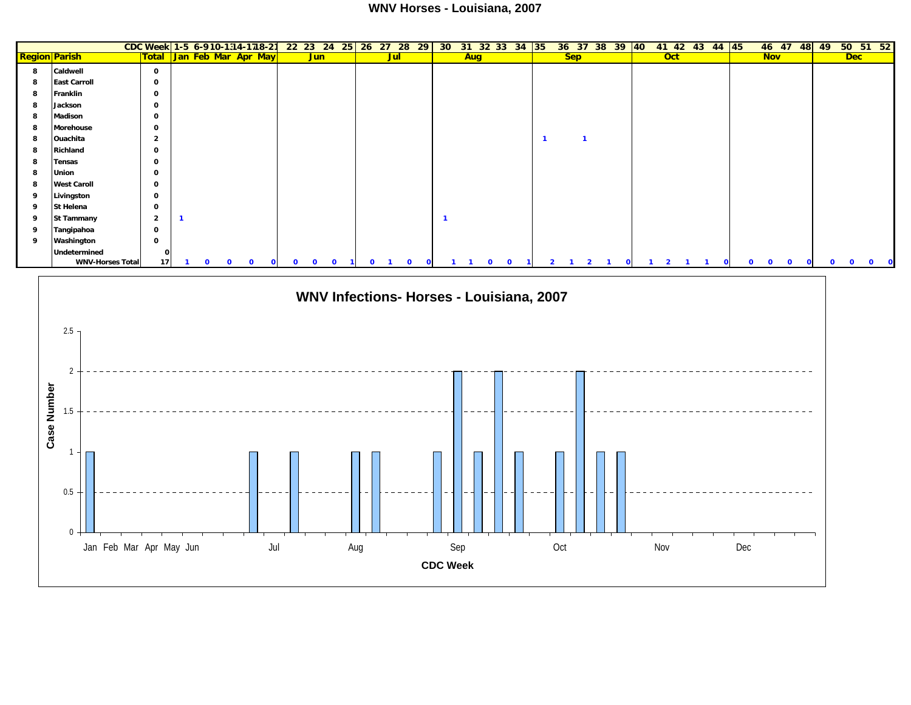## **WNV Horses - Louisiana, 2007**

| <b>Total Jan Feb Mar Apr May</b><br><b>Sep</b><br>$_{\rm Oct}$<br><b>Nov</b><br><b>Region Parish</b><br><b>Jun</b><br><b>Jul</b><br>Aug<br>Caldwell<br>$\mathbf 0$<br>8<br><b>East Carroll</b><br>8<br>$\mathbf 0$<br>8<br>Franklin<br>$\mathbf 0$<br>Jackson<br>$\mathbf 0$<br>8<br><b>Madison</b><br>0<br>8<br>Morehouse<br>$\mathbf 0$<br>8<br>8<br>Ouachita<br>$\overline{2}$<br>$\overline{1}$<br>$\mathbf{1}$<br>Richland<br>$\mathbf 0$<br>8<br>8<br>Tensas<br>0<br><b>Union</b><br>0<br>8<br><b>West Caroll</b><br>$\mathbf 0$<br>8<br>Livingston<br>$\mathbf 0$<br>9<br>St Helena<br>9<br>0<br><b>St Tammany</b><br>$\overline{2}$<br>9<br>$\mathbf{1}$<br>-1<br>Tangipahoa<br>$\mathbf 0$<br>9<br>Washington<br>0<br>9<br>Undetermined<br>O<br><b>WNV-Horses Total</b><br>17<br>$\mathbf{o}$<br>$\mathbf{o}$<br>$\mathbf{o}$<br>$\mathbf{0}$<br>$\mathbf{o}$<br>$\Omega$<br>$\mathbf{o}$<br>$\mathbf{o}$<br>$\Omega$<br>$\mathbf{o}$<br>$\mathbf{o}$<br>$\Omega$<br>$\Omega$<br>$\overline{\phantom{a}}$<br>$\mathbf{o}$<br>$\mathbf{o}$<br>$\Omega$<br>$\Omega$<br>-2<br>$\mathbf{o}$<br>-1<br>-1<br>WNV Infections- Horses - Louisiana, 2007<br>2.5<br>2<br>Case Number<br>1.5<br>-1<br>0.5<br>$\boldsymbol{0}$<br>Jan Feb Mar Apr May Jun<br>Nov<br>Jul<br>Sep<br>Oct<br>Dec<br>Aug<br><b>CDC Week</b> |  |  |  |  | CDC Week 1-5 6-910-1314-1718-21 |  |  |  |  |  | 22 23 24 25 26 27 28 29 30 31 32 33 34 35 |  | 36 37 38 39 40 |  |  | 41 42 43 44 45 |  | 46 47 48 49 |            | 50 51 52 |
|---------------------------------------------------------------------------------------------------------------------------------------------------------------------------------------------------------------------------------------------------------------------------------------------------------------------------------------------------------------------------------------------------------------------------------------------------------------------------------------------------------------------------------------------------------------------------------------------------------------------------------------------------------------------------------------------------------------------------------------------------------------------------------------------------------------------------------------------------------------------------------------------------------------------------------------------------------------------------------------------------------------------------------------------------------------------------------------------------------------------------------------------------------------------------------------------------------------------------------------------------------------------------------------------------------------------|--|--|--|--|---------------------------------|--|--|--|--|--|-------------------------------------------|--|----------------|--|--|----------------|--|-------------|------------|----------|
|                                                                                                                                                                                                                                                                                                                                                                                                                                                                                                                                                                                                                                                                                                                                                                                                                                                                                                                                                                                                                                                                                                                                                                                                                                                                                                                     |  |  |  |  |                                 |  |  |  |  |  |                                           |  |                |  |  |                |  |             | <b>Dec</b> |          |
|                                                                                                                                                                                                                                                                                                                                                                                                                                                                                                                                                                                                                                                                                                                                                                                                                                                                                                                                                                                                                                                                                                                                                                                                                                                                                                                     |  |  |  |  |                                 |  |  |  |  |  |                                           |  |                |  |  |                |  |             |            |          |
|                                                                                                                                                                                                                                                                                                                                                                                                                                                                                                                                                                                                                                                                                                                                                                                                                                                                                                                                                                                                                                                                                                                                                                                                                                                                                                                     |  |  |  |  |                                 |  |  |  |  |  |                                           |  |                |  |  |                |  |             |            |          |
|                                                                                                                                                                                                                                                                                                                                                                                                                                                                                                                                                                                                                                                                                                                                                                                                                                                                                                                                                                                                                                                                                                                                                                                                                                                                                                                     |  |  |  |  |                                 |  |  |  |  |  |                                           |  |                |  |  |                |  |             |            |          |
|                                                                                                                                                                                                                                                                                                                                                                                                                                                                                                                                                                                                                                                                                                                                                                                                                                                                                                                                                                                                                                                                                                                                                                                                                                                                                                                     |  |  |  |  |                                 |  |  |  |  |  |                                           |  |                |  |  |                |  |             |            |          |
|                                                                                                                                                                                                                                                                                                                                                                                                                                                                                                                                                                                                                                                                                                                                                                                                                                                                                                                                                                                                                                                                                                                                                                                                                                                                                                                     |  |  |  |  |                                 |  |  |  |  |  |                                           |  |                |  |  |                |  |             |            |          |
|                                                                                                                                                                                                                                                                                                                                                                                                                                                                                                                                                                                                                                                                                                                                                                                                                                                                                                                                                                                                                                                                                                                                                                                                                                                                                                                     |  |  |  |  |                                 |  |  |  |  |  |                                           |  |                |  |  |                |  |             |            |          |
|                                                                                                                                                                                                                                                                                                                                                                                                                                                                                                                                                                                                                                                                                                                                                                                                                                                                                                                                                                                                                                                                                                                                                                                                                                                                                                                     |  |  |  |  |                                 |  |  |  |  |  |                                           |  |                |  |  |                |  |             |            |          |
|                                                                                                                                                                                                                                                                                                                                                                                                                                                                                                                                                                                                                                                                                                                                                                                                                                                                                                                                                                                                                                                                                                                                                                                                                                                                                                                     |  |  |  |  |                                 |  |  |  |  |  |                                           |  |                |  |  |                |  |             |            |          |
|                                                                                                                                                                                                                                                                                                                                                                                                                                                                                                                                                                                                                                                                                                                                                                                                                                                                                                                                                                                                                                                                                                                                                                                                                                                                                                                     |  |  |  |  |                                 |  |  |  |  |  |                                           |  |                |  |  |                |  |             |            |          |
|                                                                                                                                                                                                                                                                                                                                                                                                                                                                                                                                                                                                                                                                                                                                                                                                                                                                                                                                                                                                                                                                                                                                                                                                                                                                                                                     |  |  |  |  |                                 |  |  |  |  |  |                                           |  |                |  |  |                |  |             |            |          |
|                                                                                                                                                                                                                                                                                                                                                                                                                                                                                                                                                                                                                                                                                                                                                                                                                                                                                                                                                                                                                                                                                                                                                                                                                                                                                                                     |  |  |  |  |                                 |  |  |  |  |  |                                           |  |                |  |  |                |  |             |            |          |
|                                                                                                                                                                                                                                                                                                                                                                                                                                                                                                                                                                                                                                                                                                                                                                                                                                                                                                                                                                                                                                                                                                                                                                                                                                                                                                                     |  |  |  |  |                                 |  |  |  |  |  |                                           |  |                |  |  |                |  |             |            |          |
|                                                                                                                                                                                                                                                                                                                                                                                                                                                                                                                                                                                                                                                                                                                                                                                                                                                                                                                                                                                                                                                                                                                                                                                                                                                                                                                     |  |  |  |  |                                 |  |  |  |  |  |                                           |  |                |  |  |                |  |             |            |          |
|                                                                                                                                                                                                                                                                                                                                                                                                                                                                                                                                                                                                                                                                                                                                                                                                                                                                                                                                                                                                                                                                                                                                                                                                                                                                                                                     |  |  |  |  |                                 |  |  |  |  |  |                                           |  |                |  |  |                |  |             |            |          |
|                                                                                                                                                                                                                                                                                                                                                                                                                                                                                                                                                                                                                                                                                                                                                                                                                                                                                                                                                                                                                                                                                                                                                                                                                                                                                                                     |  |  |  |  |                                 |  |  |  |  |  |                                           |  |                |  |  |                |  |             |            |          |
|                                                                                                                                                                                                                                                                                                                                                                                                                                                                                                                                                                                                                                                                                                                                                                                                                                                                                                                                                                                                                                                                                                                                                                                                                                                                                                                     |  |  |  |  |                                 |  |  |  |  |  |                                           |  |                |  |  |                |  |             |            |          |
|                                                                                                                                                                                                                                                                                                                                                                                                                                                                                                                                                                                                                                                                                                                                                                                                                                                                                                                                                                                                                                                                                                                                                                                                                                                                                                                     |  |  |  |  |                                 |  |  |  |  |  |                                           |  |                |  |  |                |  |             |            |          |
|                                                                                                                                                                                                                                                                                                                                                                                                                                                                                                                                                                                                                                                                                                                                                                                                                                                                                                                                                                                                                                                                                                                                                                                                                                                                                                                     |  |  |  |  |                                 |  |  |  |  |  |                                           |  |                |  |  |                |  |             |            | $\Omega$ |
|                                                                                                                                                                                                                                                                                                                                                                                                                                                                                                                                                                                                                                                                                                                                                                                                                                                                                                                                                                                                                                                                                                                                                                                                                                                                                                                     |  |  |  |  |                                 |  |  |  |  |  |                                           |  |                |  |  |                |  |             |            |          |
|                                                                                                                                                                                                                                                                                                                                                                                                                                                                                                                                                                                                                                                                                                                                                                                                                                                                                                                                                                                                                                                                                                                                                                                                                                                                                                                     |  |  |  |  |                                 |  |  |  |  |  |                                           |  |                |  |  |                |  |             |            |          |
|                                                                                                                                                                                                                                                                                                                                                                                                                                                                                                                                                                                                                                                                                                                                                                                                                                                                                                                                                                                                                                                                                                                                                                                                                                                                                                                     |  |  |  |  |                                 |  |  |  |  |  |                                           |  |                |  |  |                |  |             |            |          |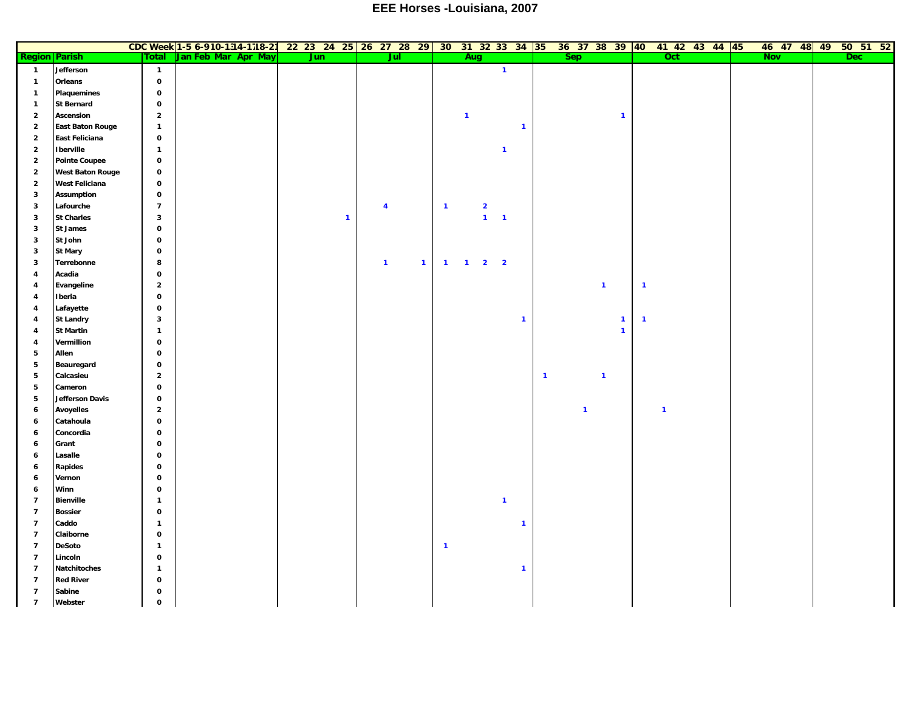## **EEE Horses -Louisiana, 2007**

|                          |                         |                | CDC Week 1-5 6-910-1314-1718-21 22 23 24 25 26 27 28 29 30 31 32 33 34 35 36 37 38 39 40 41 42 43 44 45 |              |                         |              |                         |              |                         |              |                |              |                         |              |              |  |            |  |            | 46 47 48 49 50 51 52 |
|--------------------------|-------------------------|----------------|---------------------------------------------------------------------------------------------------------|--------------|-------------------------|--------------|-------------------------|--------------|-------------------------|--------------|----------------|--------------|-------------------------|--------------|--------------|--|------------|--|------------|----------------------|
| <b>Region Parish</b>     |                         | Total          | Jan Feb Mar Apr May                                                                                     | <b>Jun</b>   | Jul                     |              |                         | Aug          |                         |              |                | Sep          |                         |              | Oct          |  | <b>Nov</b> |  | <b>Dec</b> |                      |
| $\overline{1}$           | Jefferson               | $\overline{1}$ |                                                                                                         |              |                         |              |                         |              | $\mathbf{1}$            |              |                |              |                         |              |              |  |            |  |            |                      |
| $\mathbf{1}$             | Orleans                 | $\mathbf 0$    |                                                                                                         |              |                         |              |                         |              |                         |              |                |              |                         |              |              |  |            |  |            |                      |
| $\mathbf{1}$             | <b>Plaquemines</b>      | $\mathbf 0$    |                                                                                                         |              |                         |              |                         |              |                         |              |                |              |                         |              |              |  |            |  |            |                      |
| $\mathbf{1}$             | <b>St Bernard</b>       | $\mathbf 0$    |                                                                                                         |              |                         |              |                         |              |                         |              |                |              |                         |              |              |  |            |  |            |                      |
| $\overline{2}$           | Ascension               | $\overline{2}$ |                                                                                                         |              |                         |              |                         | $\mathbf{1}$ |                         |              |                |              | $\mathbf{1}$            |              |              |  |            |  |            |                      |
| $\overline{\mathbf{2}}$  | <b>East Baton Rouge</b> | $\mathbf{1}$   |                                                                                                         |              |                         |              |                         |              |                         | $\mathbf{1}$ |                |              |                         |              |              |  |            |  |            |                      |
| $\overline{\mathbf{2}}$  | East Feliciana          | $\mathbf 0$    |                                                                                                         |              |                         |              |                         |              |                         |              |                |              |                         |              |              |  |            |  |            |                      |
| $\overline{\mathbf{2}}$  | Iberville               | $\mathbf{1}$   |                                                                                                         |              |                         |              |                         |              | $\mathbf{1}$            |              |                |              |                         |              |              |  |            |  |            |                      |
| $\overline{\mathbf{2}}$  | <b>Pointe Coupee</b>    | $\mathbf 0$    |                                                                                                         |              |                         |              |                         |              |                         |              |                |              |                         |              |              |  |            |  |            |                      |
| $\overline{\mathbf{2}}$  | <b>West Baton Rouge</b> | $\mathbf 0$    |                                                                                                         |              |                         |              |                         |              |                         |              |                |              |                         |              |              |  |            |  |            |                      |
| $\overline{\mathbf{2}}$  | <b>West Feliciana</b>   | $\mathbf 0$    |                                                                                                         |              |                         |              |                         |              |                         |              |                |              |                         |              |              |  |            |  |            |                      |
| $\mathbf{3}$             | <b>Assumption</b>       | $\mathbf 0$    |                                                                                                         |              |                         |              |                         |              |                         |              |                |              |                         |              |              |  |            |  |            |                      |
| 3                        | Lafourche               | $\overline{7}$ |                                                                                                         |              | $\overline{\mathbf{4}}$ |              | $\overline{\mathbf{1}}$ |              | $\overline{\mathbf{2}}$ |              |                |              |                         |              |              |  |            |  |            |                      |
| $\mathbf{3}$             | <b>St Charles</b>       | $\mathbf{3}$   |                                                                                                         | $\mathbf{1}$ |                         |              |                         |              | $1 - 1$                 |              |                |              |                         |              |              |  |            |  |            |                      |
| 3                        | <b>St James</b>         | $\mathbf 0$    |                                                                                                         |              |                         |              |                         |              |                         |              |                |              |                         |              |              |  |            |  |            |                      |
| $\mathbf{3}$             | St John                 | $\mathbf 0$    |                                                                                                         |              |                         |              |                         |              |                         |              |                |              |                         |              |              |  |            |  |            |                      |
| $\mathbf{3}$             | <b>St Mary</b>          | $\mathbf 0$    |                                                                                                         |              |                         |              |                         |              |                         |              |                |              |                         |              |              |  |            |  |            |                      |
| 3                        | Terrebonne              | 8              |                                                                                                         |              | $\mathbf{1}$            | $\mathbf{1}$ | $\blacksquare$          |              | $1 \quad 2 \quad 2$     |              |                |              |                         |              |              |  |            |  |            |                      |
| 4                        | Acadia                  | $\mathbf 0$    |                                                                                                         |              |                         |              |                         |              |                         |              |                |              |                         |              |              |  |            |  |            |                      |
| 4                        | Evangeline              | $\overline{2}$ |                                                                                                         |              |                         |              |                         |              |                         |              |                |              | $\mathbf{1}$            | $\mathbf{1}$ |              |  |            |  |            |                      |
| $\overline{\mathbf{4}}$  | Iberia                  | $\mathbf 0$    |                                                                                                         |              |                         |              |                         |              |                         |              |                |              |                         |              |              |  |            |  |            |                      |
| 4                        | Lafayette               | $\mathbf 0$    |                                                                                                         |              |                         |              |                         |              |                         |              |                |              |                         |              |              |  |            |  |            |                      |
| $\overline{4}$           | <b>St Landry</b>        | $\mathbf{3}$   |                                                                                                         |              |                         |              |                         |              |                         | $\mathbf{1}$ |                |              | $\mathbf{1}$            | $\mathbf{1}$ |              |  |            |  |            |                      |
| 4                        | <b>St Martin</b>        | $\mathbf{1}$   |                                                                                                         |              |                         |              |                         |              |                         |              |                |              | $\mathbf{1}$            |              |              |  |            |  |            |                      |
| $\overline{\mathbf{4}}$  | Vermillion              | $\mathbf 0$    |                                                                                                         |              |                         |              |                         |              |                         |              |                |              |                         |              |              |  |            |  |            |                      |
| 5                        | Allen                   | $\mathbf 0$    |                                                                                                         |              |                         |              |                         |              |                         |              |                |              |                         |              |              |  |            |  |            |                      |
| 5                        | Beauregard              | $\mathbf 0$    |                                                                                                         |              |                         |              |                         |              |                         |              |                |              |                         |              |              |  |            |  |            |                      |
| 5                        | Calcasieu               | $\overline{2}$ |                                                                                                         |              |                         |              |                         |              |                         |              | $\overline{1}$ |              | $\overline{\mathbf{1}}$ |              |              |  |            |  |            |                      |
| 5                        | Cameron                 | $\mathbf 0$    |                                                                                                         |              |                         |              |                         |              |                         |              |                |              |                         |              |              |  |            |  |            |                      |
| 5                        | Jefferson Davis         | $\mathbf 0$    |                                                                                                         |              |                         |              |                         |              |                         |              |                |              |                         |              |              |  |            |  |            |                      |
| $\bf 6$                  | Avoyelles               | $\mathbf 2$    |                                                                                                         |              |                         |              |                         |              |                         |              |                | $\mathbf{1}$ |                         |              | $\mathbf{1}$ |  |            |  |            |                      |
| 6                        | Catahoula               | $\mathbf 0$    |                                                                                                         |              |                         |              |                         |              |                         |              |                |              |                         |              |              |  |            |  |            |                      |
| 6                        | Concordia               | $\mathbf 0$    |                                                                                                         |              |                         |              |                         |              |                         |              |                |              |                         |              |              |  |            |  |            |                      |
| 6                        | Grant                   | $\mathbf 0$    |                                                                                                         |              |                         |              |                         |              |                         |              |                |              |                         |              |              |  |            |  |            |                      |
| 6                        | Lasalle                 | $\mathbf 0$    |                                                                                                         |              |                         |              |                         |              |                         |              |                |              |                         |              |              |  |            |  |            |                      |
| 6                        | <b>Rapides</b>          | $\mathbf 0$    |                                                                                                         |              |                         |              |                         |              |                         |              |                |              |                         |              |              |  |            |  |            |                      |
| 6                        | Vernon                  | $\mathbf 0$    |                                                                                                         |              |                         |              |                         |              |                         |              |                |              |                         |              |              |  |            |  |            |                      |
| 6                        | Winn                    | $\mathbf 0$    |                                                                                                         |              |                         |              |                         |              |                         |              |                |              |                         |              |              |  |            |  |            |                      |
| $\overline{7}$           | <b>Bienville</b>        | $\mathbf{1}$   |                                                                                                         |              |                         |              |                         |              | $\mathbf{1}$            |              |                |              |                         |              |              |  |            |  |            |                      |
| $\overline{7}$           | <b>Bossier</b>          | $\mathbf 0$    |                                                                                                         |              |                         |              |                         |              |                         |              |                |              |                         |              |              |  |            |  |            |                      |
| $\overline{7}$           | Caddo                   | $\mathbf{1}$   |                                                                                                         |              |                         |              |                         |              |                         | $\mathbf{1}$ |                |              |                         |              |              |  |            |  |            |                      |
| $\overline{7}$           | Claiborne               | $\mathbf 0$    |                                                                                                         |              |                         |              |                         |              |                         |              |                |              |                         |              |              |  |            |  |            |                      |
| $\overline{7}$           | <b>DeSoto</b>           | $\mathbf{1}$   |                                                                                                         |              |                         |              | $\overline{\mathbf{1}}$ |              |                         |              |                |              |                         |              |              |  |            |  |            |                      |
| $\overline{7}$           | Lincoln                 | $\mathbf 0$    |                                                                                                         |              |                         |              |                         |              |                         |              |                |              |                         |              |              |  |            |  |            |                      |
| $\overline{7}$           | Natchitoches            | $\mathbf{1}$   |                                                                                                         |              |                         |              |                         |              |                         | $\mathbf{1}$ |                |              |                         |              |              |  |            |  |            |                      |
| $\overline{\phantom{a}}$ | <b>Red River</b>        | $\mathbf 0$    |                                                                                                         |              |                         |              |                         |              |                         |              |                |              |                         |              |              |  |            |  |            |                      |
| $\overline{7}$           | Sabine                  | $\mathbf 0$    |                                                                                                         |              |                         |              |                         |              |                         |              |                |              |                         |              |              |  |            |  |            |                      |
| $\overline{\phantom{a}}$ | Webster                 | $\mathbf 0$    |                                                                                                         |              |                         |              |                         |              |                         |              |                |              |                         |              |              |  |            |  |            |                      |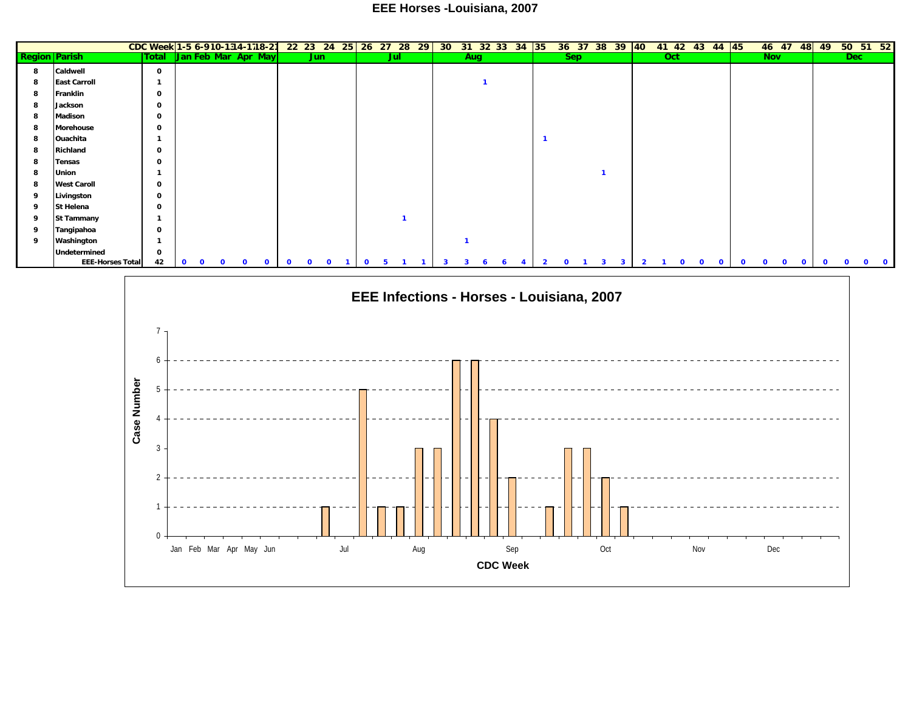## **EEE Horses -Louisiana, 2007**

|                      |                         | CDC Week 1-5 6-910-1314-1718-21 22 23 24 25 26 27 28 29 30 31 32 33 34 35 |                           |                      |             |          |              |              |              |                                           |                     |              |    |              |  |                         |              | 36 37 38 39 40 |                         |                | 41 42 43 44 45 |              |              |             |          |            |          |              |          |          |            | 46 47 48 49 50 51 52 |
|----------------------|-------------------------|---------------------------------------------------------------------------|---------------------------|----------------------|-------------|----------|--------------|--------------|--------------|-------------------------------------------|---------------------|--------------|----|--------------|--|-------------------------|--------------|----------------|-------------------------|----------------|----------------|--------------|--------------|-------------|----------|------------|----------|--------------|----------|----------|------------|----------------------|
| <b>Region Parish</b> |                         |                                                                           | Total Jan Feb Mar Apr May |                      |             |          |              | Jun          |              |                                           | Jul                 |              |    | Aug          |  |                         | Sep          |                |                         |                | Oct            |              |              |             |          | <b>Nov</b> |          |              |          |          | <b>Dec</b> |                      |
| -8                   | Caldwell                | $\mathbf 0$                                                               |                           |                      |             |          |              |              |              |                                           |                     |              |    |              |  |                         |              |                |                         |                |                |              |              |             |          |            |          |              |          |          |            |                      |
|                      | <b>East Carroll</b>     | -1                                                                        |                           |                      |             |          |              |              |              |                                           |                     |              |    |              |  |                         |              |                |                         |                |                |              |              |             |          |            |          |              |          |          |            |                      |
|                      | <b>Franklin</b>         | $\mathbf 0$                                                               |                           |                      |             |          |              |              |              |                                           |                     |              |    |              |  |                         |              |                |                         |                |                |              |              |             |          |            |          |              |          |          |            |                      |
|                      | Jackson                 | $\mathbf{o}$                                                              |                           |                      |             |          |              |              |              |                                           |                     |              |    |              |  |                         |              |                |                         |                |                |              |              |             |          |            |          |              |          |          |            |                      |
|                      | <b>Madison</b>          | $\Omega$                                                                  |                           |                      |             |          |              |              |              |                                           |                     |              |    |              |  |                         |              |                |                         |                |                |              |              |             |          |            |          |              |          |          |            |                      |
|                      | Morehouse               | 0                                                                         |                           |                      |             |          |              |              |              |                                           |                     |              |    |              |  |                         |              |                |                         |                |                |              |              |             |          |            |          |              |          |          |            |                      |
|                      | Ouachita                | -1                                                                        |                           |                      |             |          |              |              |              |                                           |                     |              |    |              |  | $\overline{\mathbf{1}}$ |              |                |                         |                |                |              |              |             |          |            |          |              |          |          |            |                      |
|                      | Richland                | $\mathbf{o}$                                                              |                           |                      |             |          |              |              |              |                                           |                     |              |    |              |  |                         |              |                |                         |                |                |              |              |             |          |            |          |              |          |          |            |                      |
| 8                    | <b>Tensas</b>           | $\mathbf{o}$                                                              |                           |                      |             |          |              |              |              |                                           |                     |              |    |              |  |                         |              |                |                         |                |                |              |              |             |          |            |          |              |          |          |            |                      |
|                      | Union                   | $\mathbf{1}$                                                              |                           |                      |             |          |              |              |              |                                           |                     |              |    |              |  |                         |              |                |                         |                |                |              |              |             |          |            |          |              |          |          |            |                      |
|                      | <b>West Caroll</b>      | $\mathbf 0$                                                               |                           |                      |             |          |              |              |              |                                           |                     |              |    |              |  |                         |              |                |                         |                |                |              |              |             |          |            |          |              |          |          |            |                      |
| ۰q                   | Livingston              | $\mathbf 0$                                                               |                           |                      |             |          |              |              |              |                                           |                     |              |    |              |  |                         |              |                |                         |                |                |              |              |             |          |            |          |              |          |          |            |                      |
| q                    | St Helena               | $\mathbf 0$                                                               |                           |                      |             |          |              |              |              |                                           |                     |              |    |              |  |                         |              |                |                         |                |                |              |              |             |          |            |          |              |          |          |            |                      |
| ۰q                   | <b>St Tammany</b>       | -1                                                                        |                           |                      |             |          |              |              |              |                                           |                     |              |    |              |  |                         |              |                |                         |                |                |              |              |             |          |            |          |              |          |          |            |                      |
| ۰q                   | Tangipahoa              | 0                                                                         |                           |                      |             |          |              |              |              |                                           |                     |              |    |              |  |                         |              |                |                         |                |                |              |              |             |          |            |          |              |          |          |            |                      |
| - 9                  | Washington              | $\mathbf{1}$                                                              |                           |                      |             |          |              |              |              |                                           |                     |              |    |              |  |                         |              |                |                         |                |                |              |              |             |          |            |          |              |          |          |            |                      |
|                      | Undetermined            | $\mathbf 0$                                                               |                           |                      |             |          |              |              |              |                                           |                     |              |    |              |  |                         |              |                |                         |                |                |              |              |             |          |            |          |              |          |          |            |                      |
|                      | <b>EEE-Horses Total</b> | 42                                                                        | $\mathbf{o}$              | $\Omega$<br>$\Omega$ | $\mathbf 0$ | $\Omega$ | $\mathbf{o}$ | $\mathbf{o}$ | $\mathbf{o}$ | $\mathbf{0}$                              | 5<br>$\blacksquare$ | $\mathbf{1}$ | -3 | $\mathbf{3}$ |  | $\overline{2}$          | $\mathbf{o}$ | $\mathbf{3}$   | $\overline{\mathbf{3}}$ | $\overline{2}$ | $\mathbf 1$    | $\mathbf{o}$ | $\mathbf{o}$ | $\mathbf 0$ | $\Omega$ | $\Omega$   | $\Omega$ | $\mathbf{o}$ | $\Omega$ | $\Omega$ |            | $0 \quad 0$          |
|                      |                         |                                                                           |                           |                      |             |          |              |              |              |                                           |                     |              |    |              |  |                         |              |                |                         |                |                |              |              |             |          |            |          |              |          |          |            |                      |
|                      |                         |                                                                           |                           |                      |             |          |              |              |              | EEE Infections - Horses - Louisiana, 2007 |                     |              |    |              |  |                         |              |                |                         |                |                |              |              |             |          |            |          |              |          |          |            |                      |
|                      |                         |                                                                           |                           |                      |             |          |              |              |              |                                           |                     |              |    |              |  |                         |              |                |                         |                |                |              |              |             |          |            |          |              |          |          |            |                      |
|                      |                         |                                                                           |                           |                      |             |          |              |              |              |                                           |                     |              |    |              |  |                         |              |                |                         |                |                |              |              |             |          |            |          |              |          |          |            |                      |
|                      |                         |                                                                           |                           |                      |             |          |              |              |              |                                           |                     |              |    |              |  |                         |              |                |                         |                |                |              |              |             |          |            |          |              |          |          |            |                      |
|                      |                         |                                                                           |                           |                      |             |          |              |              |              |                                           |                     |              |    |              |  |                         |              |                |                         |                |                |              |              |             |          |            |          |              |          |          |            |                      |
|                      |                         | h                                                                         |                           |                      |             |          |              |              |              |                                           |                     |              |    |              |  |                         |              |                |                         |                |                |              |              |             |          |            |          |              |          |          |            |                      |
|                      |                         |                                                                           |                           |                      |             |          |              |              |              |                                           |                     |              |    |              |  |                         |              |                |                         |                |                |              |              |             |          |            |          |              |          |          |            |                      |
|                      |                         | ēr<br>$\Gamma$                                                            |                           |                      |             |          |              |              |              |                                           |                     |              |    |              |  |                         |              |                |                         |                |                |              |              |             |          |            |          |              |          |          |            |                      |